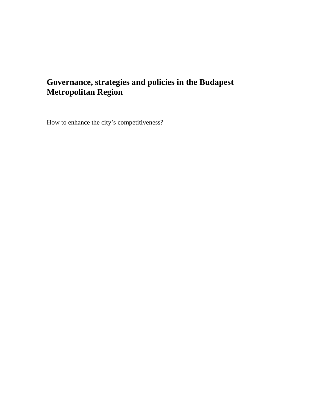# **Governance, strategies and policies in the Budapest Metropolitan Region**

How to enhance the city's competitiveness?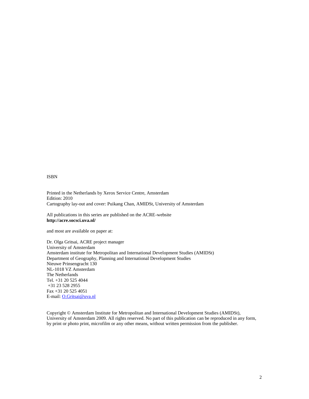#### ISBN

Printed in the Netherlands by Xerox Service Centre, Amsterdam Edition: 2010 Cartography layout and cover: Puikang Chan, AMIDSt, University of Amsterdam

All publications in this series are published on the ACRE bsite [http://acre.socsci.uva.nl](http://acre.socsci.uva.nl/)/

and most are available on paper at:

Dr. Olga Gritsai, ACRE project manager University of Amsterdam Amsterdaminstitute for Metropolitan and International Development Studies (AMIDSt) Department of Geography, Planning and International Development Studies Nieuwe Prinsengracht 130 NL-1018 VZ Amsterdam The Netherlands Tel. +31 20 525 4044 +31 23 528 2955 Fax +31 2 525 4051 E-mail: O[.Gritsai@uva.n](mailto:Gritsai@uva.nl)l

Copyright • Amsterdam Institute for Metropolitan and International Development Studies (AMIDSt), University of Amsterdam 2009. All rights reserved. No part of this publication be reproduced in any form, by print or photo print, microfilm or any other means, without written permission from the publisher.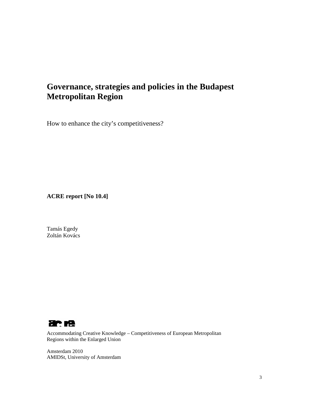# **Governance, strategies and policies in the Budapest Metropolitan Region**

How to enhance the city's competitiveness?

**ACRE report [No 10.4]**

Tamás Egedy Zoltán Kovács



Accommodating Creative Knowledge – Competitiveness of European Metropolitan Regions within the Enlarged Union

Amsterdam 2010 AMIDSt, University of Amsterdam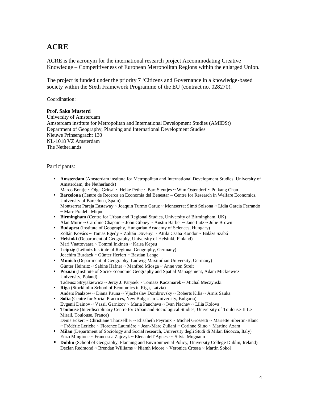# **ACRE**

ACRE is the acronym for the international research project Accommodating Creative Knowledge – Competitiveness of European Metropolitan Regions within the enlarged Union.

The project is funded under the priority 7 'Citizens and Governance in a knowledge-based society within the Sixth Framework Programme of the EU (contract no. 028270).

Coordination:

### **Prof. Sako Musterd**

University of Amsterdam Amsterdam institute for Metropolitan and International Development Studies (AMIDSt) Department of Geography, Planning and International Development Studies Nieuwe Prinsengracht 130 NL-1018 VZ Amsterdam The Netherlands

### Participants:

- **Amsterdam** (Amsterdam institute for Metropolitan and International Development Studies, University of Amsterdam, the Netherlands)
- Marco Bontje ~ Olga Gritsai ~ Heike Pethe ~ Bart Sleutjes ~ Wim Ostendorf ~ Puikang Chan
- **Barcelona** (Centre de Recerca en Economia del Benestar Centre for Research in Welfare Economics, University of Barcelona, Spain) Montserrat Pareja Eastaway ~ Joaquin Turmo Garuz ~ Montserrat Simó Solsona ~ Lidia Garcia Ferrando ~ Marc Pradel i Miquel
- **Birmingham** (Centre for Urban and Regional Studies, University of Birmingham, UK) Alan Murie ~ Caroline Chapain ~ John Gibney ~ Austin Barber ~ Jane Lutz ~ Julie Brown
- **Budapest** (Institute of Geography, Hungarian Academy of Sciences, Hungary) Zoltán Kovács ~ Tamas Egedy ~ Zoltán Dövényi ~ Attila Csaba Kondor ~ Balázs Szabó
- **Helsinki** (Department of Geography, University of Helsinki, Finland) Mari Vaattovaara ~ Tommi Inkinen ~ Kaisa Kepsu
- **Leipzig** (Leibniz Institute of Regional Geography, Germany) Joachim Burdack ~ Günter Herfert ~ Bastian Lange
- **Munich** (Department of Geography, Ludwig-Maximilian University, Germany) Günter Heinritz ~ Sabine Hafner ~ Manfred Miosga ~ Anne von Streit
- **Poznan** (Institute of Socio-Economic Geography and Spatial Management, Adam Mickiewicz University, Poland)
- Tadeusz Stryjakiewicz ~ Jerzy J. Parysek ~ Tomasz Kaczmarek ~ Michal Meczynski **Riga** (Stockholm School of Economics in Riga, Latvia)
- Anders Paalzow ~ Diana Pauna ~ Vjacheslav Dombrovsky ~ Roberts Kilis ~ Arnis Sauka **Sofia** (Centre for Social Practices, New Bulgarian University, Bulgaria)
- Evgenii Dainov ~ Vassil Garnizov ~ Maria Pancheva ~ Ivan Nachev ~ Lilia Kolova
- **Toulouse** (Interdisciplinary Centre for Urban and Sociological Studies, University of Toulouse-II Le Mirail, Toulouse, France)
- Denis Eckert ~ Christiane Thouzellier ~ Elisabeth Peyroux ~ Michel Grossetti ~ Mariette Sibertin-Blanc ~ Frédéric Leriche ~ Florence Laumière ~ Jean-Marc Zuliani ~ Corinne Siino ~ Martine Azam
- **Milan** (Department of Sociology and Social research, University degli Studi di Milan Bicocca, Italy) Enzo Mingione ~ Francesca Zajczyk ~ Elena dell'Agnese ~ Silvia Mugnano
- **Dublin** (School of Geography, Planning and Environmental Policy, University College Dublin, Ireland) Declan Redmond ~ Brendan Williams ~ Niamh Moore ~ Veronica Crossa ~ Martin Sokol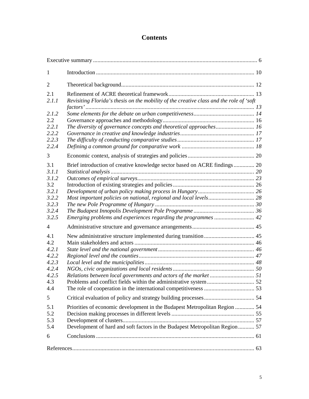# **Contents**

| $\mathbf{1}$                                                              |                                                                                                                                                            |  |
|---------------------------------------------------------------------------|------------------------------------------------------------------------------------------------------------------------------------------------------------|--|
| $\overline{2}$                                                            |                                                                                                                                                            |  |
| 2.1<br>2.1.1                                                              | Revisiting Florida's thesis on the mobility of the creative class and the role of 'soft                                                                    |  |
| 2.1.2<br>2.2<br>2.2.1<br>2.2.2<br>2.2.3                                   |                                                                                                                                                            |  |
| 2.2.4<br>3                                                                |                                                                                                                                                            |  |
| 3.1<br>3.1.1<br>3.1.2<br>3.2<br>3.2.1<br>3.2.2<br>3.2.3<br>3.2.4<br>3.2.5 | Brief introduction of creative knowledge sector based on ACRE findings 20                                                                                  |  |
| $\overline{4}$                                                            |                                                                                                                                                            |  |
| 4.1<br>4.2<br>4.2.1<br>4.2.2<br>4.2.3<br>4.2.4<br>4.2.5<br>4.3<br>4.4     |                                                                                                                                                            |  |
| 5                                                                         |                                                                                                                                                            |  |
| 5.1<br>5.2<br>5.3<br>5.4                                                  | Priorities of economic development in the Budapest Metropolitan Region  54<br>Development of hard and soft factors in the Budapest Metropolitan Region  57 |  |
| 6                                                                         |                                                                                                                                                            |  |
|                                                                           |                                                                                                                                                            |  |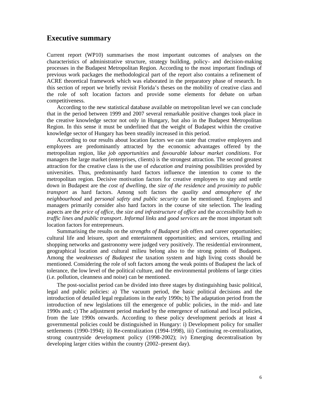## **Executive summary**

Current report (WP10) summarises the most important outcomes of analyses on the characteristics of administrative structure, strategy building, policy- and decision-making processes in the Budapest Metropolitan Region. According to the most important findings of previous work packages the methodological part of the report also contains a refinement of ACRE theoretical framework which was elaborated in the preparatory phase of research. In this section of report we briefly revisit Florida's theses on the mobility of creative class and the role of soft location factors and provide some elements for debate on urban competitiveness.

According to the new statistical database available on metropolitan level we can conclude that in the period between 1999 and 2007 several remarkable positive changes took place in the creative knowledge sector not only in Hungary, but also in the Budapest Metropolitan Region. In this sense it must be underlined that the weight of Budapest within the creative knowledge sector of Hungary has been steadily increased in this period.

According to our results about location factors we can state that creative employers and employees are predominantly attracted by the economic advantages offered by the metropolitan region, like *job opportunities* and *favourable labour market conditions*. For managers the large market (enterprises, clients) is the strongest attraction. The second greatest attraction for the creative class is the use of *education and training* possibilities provided by universities. Thus, predominantly hard factors influence the intention to come to the metropolitan region. Decisive motivation factors for creative employees to stay and settle down in Budapest are the *cost of dwelling*, the *size of the residence* and *proximity to public transport* as hard factors. Among soft factors the *quality and atmosphere of the neighbourhood* and *personal safety and public security* can be mentioned. Employers and managers primarily consider also hard factors in the course of site selection. The leading aspects are the *price of office*, the *size and infrastructure of office* and the *accessibility both to traffic lines and public transport*. *Informal links* and *good services* are the most important soft location factors for entrepreneurs.

Summarising the results on the *strengths of Budapest* job offers and career opportunities; cultural life and leisure, sport and entertainment opportunities; and services, retailing and shopping networks and gastronomy were judged very positively. The residential environment, geographical location and cultural milieu belong also to the strong points of Budapest. Among the *weaknesses of Budapest the* taxation system and high living costs should be mentioned. Considering the role of soft factors among the weak points of Budapest the lack of tolerance, the low level of the political culture, and the environmental problems of large cities (i.e. pollution, cleanness and noise) can be mentioned.

The post-socialist period can be divided into three stages by distinguishing basic political, legal and public policies: a) The vacuum period, the basic political decisions and the introduction of detailed legal regulations in the early 1990s; b) The adaptation period from the introduction of new legislations till the emergence of public policies, in the mid- and late 1990s and; c) The adjustment period marked by the emergence of national and local policies, from the late 1990s onwards. According to these policy development periods at least 4 governmental policies could be distinguished in Hungary: i) Development policy for smaller settlements (1990-1994); ii) Re-centralization (1994-1998), iii) Continuing re-centralization, strong countryside development policy (1998-2002); iv) Emerging decentralisation by developing larger cities within the country (2002–present day).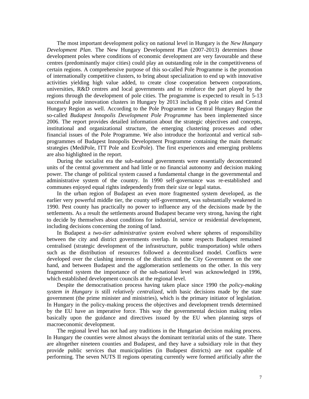The most important development policy on national level in Hungary is the *New Hungary Development Plan*. The New Hungary Development Plan (2007-2013) determines those development poles where conditions of economic development are very favourable and these centres (predominantly major cities) could play an outstanding role in the competitiveness of certain regions. A comprehensive purpose of this so-called Pole Programme is the promotion of internationally competitive clusters, to bring about specialization to end up with innovative activities yielding high value added, to create close cooperation between corporations, universities, R&D centres and local governments and to reinforce the part played by the regions through the development of pole cities. The programme is expected to result in 5-13 successful pole innovation clusters in Hungary by 2013 including 8 pole cities and Central Hungary Region as well. According to the Pole Programme in Central Hungary Region the so-called *Budapest Innopolis Development Pole Programme* has been implemented since 2006. The report provides detailed information about the strategic objectives and concepts, institutional and organizational structure, the emerging clustering processes and other financial issues of the Pole Programme. We also introduce the horizontal and vertical subprogrammes of Budapest Innopolis Development Programme containing the main thematic strategies (MediPole, ITT Pole and EcoPole). The first experiences and emerging problems are also highlighted in the report.

During the socialist era the sub-national governments were essentially deconcentrated units of the central government and had little or no financial autonomy and decision making power. The change of political system caused a fundamental change in the governmental and administrative system of the country. In 1990 self-governance was re-established and communes enjoyed equal rights independently from their size or legal status.

In the urban region of Budapest an even more fragmented system developed, as the earlier very powerful middle tier, the county self-government, was substantially weakened in 1990. Pest county has practically no power to influence any of the decisions made by the settlements. As a result the settlements around Budapest became very strong, having the right to decide by themselves about conditions for industrial, service or residential development, including decisions concerning the zoning of land.

In Budapest a *two-tier administrative system* evolved where spheres of responsibility between the city and district governments overlap. In some respects Budapest remained centralised (strategic development of the infrastructure, public transportation) while others such as the distribution of resources followed a decentralised model. Conflicts were developed over the clashing interests of the districts and the City Government on the one hand, and between Budapest and the agglomeration settlements on the other. In this very fragmented system the importance of the sub-national level was acknowledged in 1996, which established development councils at the regional level.

Despite the democratisation process having taken place since 1990 the *policy-making system in Hungary is* still *relatively centralized*, with basic decisions made by the state government (the prime minister and ministries), which is the primary initiator of legislation. In Hungary in the policy-making process the objectives and development trends determined by the EU have an imperative force. This way the governmental decision making relies basically upon the guidance and directives issued by the EU when planning steps of macroeconomic development.

The regional level has not had any traditions in the Hungarian decision making process. In Hungary the counties were almost always the dominant territorial units of the state. There are altogether nineteen counties and Budapest, and they have a subsidiary role in that they provide public services that municipalities (in Budapest districts) are not capable of performing. The seven NUTS II regions operating currently were formed artificially after the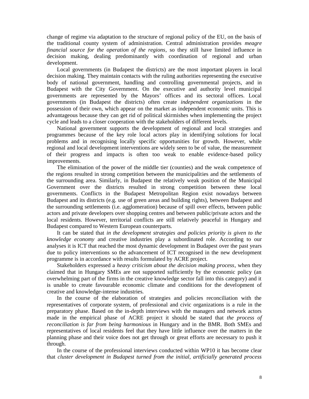change of regime via adaptation to the structure of regional policy of the EU, on the basis of the traditional county system of administration. Central administration provides *meagre financial source for the operation of the regions*, so they still have limited influence in decision making, dealing predominantly with coordination of regional and urban development.

Local governments (in Budapest the districts) are the most important players in local decision making. They maintain contacts with the ruling authorities representing the executive body of national government, handling and controlling governmental projects, and in Budapest with the City Government. On the executive and authority level municipal governments are represented by the Mayors' offices and its sectoral offices. Local governments (in Budapest the districts) often create *independent organizations* in the possession of their own, which appear on the market as independent economic units. This is advantageous because they can get rid of political skirmishes when implementing the project cycle and leads to a closer cooperation with the stakeholders of different levels.

National government supports the development of regional and local strategies and programmes because of the key role local actors play in identifying solutions for local problems and in recognising locally specific opportunities for growth. However, while regional and local development interventions are widely seen to be of value, the measurement of their progress and impacts is often too weak to enable evidence-based policy improvements.

The elimination of the power of the middle tier (counties) and the weak competence of the regions resulted in strong competition between the municipalities and the settlements of the surrounding area. Similarly, in Budapest the relatively weak position of the Municipal Government over the districts resulted in strong competition between these local governments. Conflicts in the Budapest Metropolitan Region exist nowadays between Budapest and its districts (e.g. use of green areas and building rights), between Budapest and the surrounding settlements (i.e. agglomeration) because of spill over effects, between public actors and private developers over shopping centres and between public/private actors and the local residents. However, territorial conflicts are still relatively peaceful in Hungary and Budapest compared to Western European counterparts.

It can be stated that *in the development strategies and policies priority is given to the knowledge economy* and creative industries play a subordinated role. According to our analyses it is ICT that reached the most dynamic development in Budapest over the past years due to policy interventions so the advancement of ICT recognised in the new development programme is in accordance with results formulated by ACRE project.

Stakeholders expressed a *heavy criticism about the decision making process*, when they claimed that in Hungary SMEs are not supported sufficiently by the economic policy (an overwhelming part of the firms in the creative knowledge sector fall into this category) and it is unable to create favourable economic climate and conditions for the development of creative and knowledge-intense industries.

In the course of the elaboration of strategies and policies reconciliation with the representatives of corporate system, of professional and civic organizations is a rule in the preparatory phase. Based on the in-depth interviews with the managers and network actors made in the empirical phase of ACRE project it should be stated that *the process of reconciliation is far from being harmonious* in Hungary and in the BMR. Both SMEs and representatives of local residents feel that they have little influence over the matters in the planning phase and their voice does not get through or great efforts are necessary to push it through.

In the course of the professional interviews conducted within WP10 it has become clear that *cluster development in Budapest turned from the initial, artificially generated process*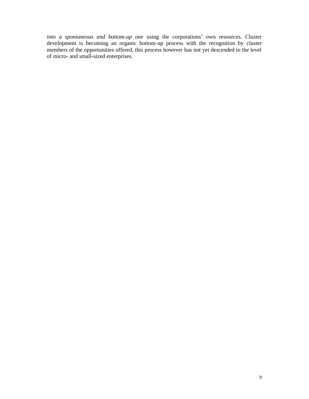*into a spontaneous and bottom-up one* using the corporations' own resources. Cluster development is becoming an organic bottom-up process with the recognition by cluster members of the opportunities offered, this process however has not yet descended to the level of micro- and small-sized enterprises.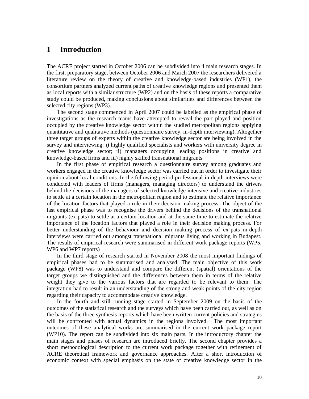# **1 Introduction**

The ACRE project started in October 2006 can be subdivided into 4 main research stages. In the first, preparatory stage, between October 2006 and March 2007 the researchers delivered a literature review on the theory of creative and knowledge-based industries (WP1), the consortium partners analyzed current paths of creative knowledge regions and presented them as local reports with a similar structure (WP2) and on the basis of these reports a comparative study could be produced, making conclusions about similarities and differences between the selected city regions (WP3).

The second stage commenced in April 2007 could be labelled as the empirical phase of investigations as the research teams have attempted to reveal the part played and position occupied by the creative knowledge sector within the studied metropolitan regions applying quantitative and qualitative methods (questionnaire survey, in-depth interviewing). Altogether three target groups of experts within the creative knowledge sector are being involved in the survey and interviewing: i) highly qualified specialists and workers with university degree in creative knowledge sector; ii) managers occupying leading positions in creative and knowledge-based firms and iii) highly skilled transnational migrants.

In the first phase of empirical research a questionnaire survey among graduates and workers engaged in the creative knowledge sector was carried out in order to investigate their opinion about local conditions. In the following period professional in-depth interviews were conducted with leaders of firms (managers, managing directors) to understand the drivers behind the decisions of the managers of selected knowledge intensive and creative industries to settle at a certain location in the metropolitan region and to estimate the relative importance of the location factors that played a role in their decision making process. The object of the last empirical phase was to recognise the drivers behind the decisions of the transnational migrants (ex-pats) to settle at a certain location and at the same time to estimate the relative importance of the location factors that played a role in their decision making process. For better understanding of the behaviour and decision making process of ex-pats in-depth interviews were carried out amongst transnational migrants living and working in Budapest. The results of empirical research were summarised in different work package reports (WP5, WP6 and WP7 reports)

In the third stage of research started in November 2008 the most important findings of empirical phases had to be summarised and analysed. The main objective of this work package (WP8) was to understand and compare the different (spatial) orientations of the target groups we distinguished and the differences between them in terms of the relative weight they give to the various factors that are regarded to be relevant to them. The integration had to result in an understanding of the strong and weak points of the city region regarding their capacity to accommodate creative knowledge.

In the fourth and still running stage started in September 2009 on the basis of the outcomes of the statistical research and the surveys which have been carried out, as well as on the basis of the three synthesis reports which have been written current policies and strategies will be confronted with actual dynamics in the regions involved. The most important outcomes of these analytical works are summarised in the current work package report (WP10). The report can be subdivided into six main parts. In the introductory chapter the main stages and phases of research are introduced briefly. The second chapter provides a short methodological description to the current work package together with refinement of ACRE theoretical framework and governance approaches. After a short introduction of economic context with special emphasis on the state of creative knowledge sector in the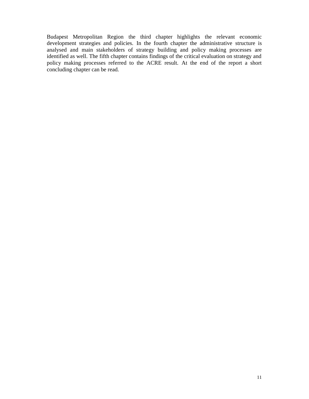Budapest Metropolitan Region the third chapter highlights the relevant economic development strategies and policies. In the fourth chapter the administrative structure is analysed and main stakeholders of strategy building and policy making processes are identified as well. The fifth chapter contains findings of the critical evaluation on strategy and policy making processes referred to the ACRE result. At the end of the report a short concluding chapter can be read.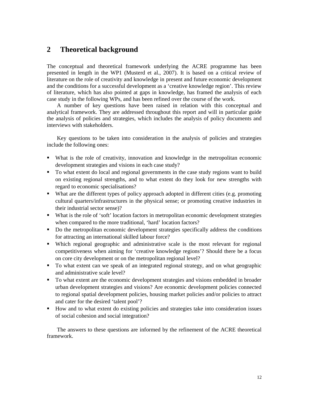# **2 Theoretical background**

The conceptual and theoretical framework underlying the ACRE programme has been presented in length in the WP1 (Musterd et al., 2007). It is based on a critical review of literature on the role of creativity and knowledge in present and future economic development and the conditions for a successful development as a 'creative knowledge region'. This review of literature, which has also pointed at gaps in knowledge, has framed the analysis of each case study in the following WPs, and has been refined over the course of the work.

A number of key questions have been raised in relation with this conceptual and analytical framework. They are addressed throughout this report and will in particular guide the analysis of policies and strategies, which includes the analysis of policy documents and interviews with stakeholders.

Key questions to be taken into consideration in the analysis of policies and strategies include the following ones:

- What is the role of creativity, innovation and knowledge in the metropolitan economic development strategies and visions in each case study?
- To what extent do local and regional governments in the case study regions want to build on existing regional strengths, and to what extent do they look for new strengths with regard to economic specialisations?
- What are the different types of policy approach adopted in different cities (e.g. promoting cultural quarters/infrastructures in the physical sense; or promoting creative industries in their industrial sector sense)?
- What is the role of 'soft' location factors in metropolitan economic development strategies when compared to the more traditional, 'hard' location factors?
- Do the metropolitan economic development strategies specifically address the conditions for attracting an international skilled labour force?
- Which regional geographic and administrative scale is the most relevant for regional competitiveness when aiming for 'creative knowledge regions'? Should there be a focus on core city development or on the metropolitan regional level?
- To what extent can we speak of an integrated regional strategy, and on what geographic and administrative scale level?
- To what extent are the economic development strategies and visions embedded in broader urban development strategies and visions? Are economic development policies connected to regional spatial development policies, housing market policies and/or policies to attract and cater for the desired 'talent pool'?
- How and to what extent do existing policies and strategies take into consideration issues of social cohesion and social integration?

The answers to these questions are informed by the refinement of the ACRE theoretical framework.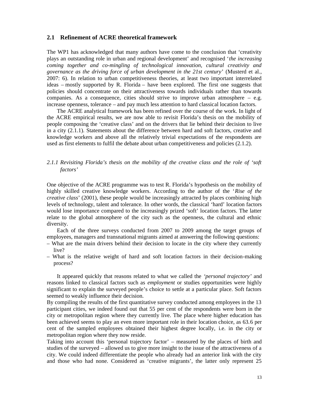### **2.1 Refinement of ACRE theoretical framework**

The WP1 has acknowledged that many authors have come to the conclusion that 'creativity plays an outstanding role in urban and regional development' and recognised '*the increasing coming together and co-mingling of technological innovation, cultural creativity and governance as the driving force of urban development in the 21st century*' (Musterd et al*.*, 2007: 6). In relation to urban competitiveness theories, at least two important interrelated ideas – mostly supported by R. Florida – have been explored. The first one suggests that policies should concentrate on their attractiveness towards individuals rather than towards companies. As a consequence, cities should strive to improve urban atmosphere  $-$  e.g. increase openness, tolerance – and pay much less attention to hard classical location factors.

The ACRE analytical framework has been refined over the course of the work. In light of the ACRE empirical results, we are now able to revisit Florida's thesis on the mobility of people composing the 'creative class' and on the drivers that lie behind their decision to live in a city (2.1.1). Statements about the difference between hard and soft factors, creative and knowledge workers and above all the relatively trivial expectations of the respondents are used as first elements to fulfil the debate about urban competitiveness and policies (2.1.2).

### *2.1.1 Revisiting Florida's thesis on the mobility of the creative class and the role of 'soft factors'*

One objective of the ACRE programme was to test R. Florida's hypothesis on the mobility of highly skilled creative knowledge workers. According to the author of the '*Rise of the creative class*' (2001), these people would be increasingly attracted by places combining high levels of technology, talent and tolerance. In other words, the classical 'hard' location factors would lose importance compared to the increasingly prized 'soft' location factors. The latter relate to the global atmosphere of the city such as the openness, the cultural and ethnic diversity.

Each of the three surveys conducted from 2007 to 2009 among the target groups of employees, managers and transnational migrants aimed at answering the following questions:

- What are the main drivers behind their decision to locate in the city where they currently live?
- What is the relative weight of hard and soft location factors in their decision-making process?

It appeared quickly that reasons related to what we called the *'personal trajectory'* and reasons linked to classical factors such as *employment* or studies opportunities were highly significant to explain the surveyed people's choice to settle at a particular place. Soft factors seemed to weakly influence their decision.

By compiling the results of the first quantitative survey conducted among employees in the 13 participant cities, we indeed found out that 55 per cent of the respondents were born in the city or metropolitan region where they currently live. The place where higher education has been achieved seems to play an even more important role in their location choice, as 63.6 per cent of the sampled employees obtained their highest degree locally, i.e. in the city or metropolitan region where they now reside.

Taking into account this 'personal trajectory factor' – measured by the places of birth and studies of the surveyed – allowed us to give more insight to the issue of the attractiveness of a city. We could indeed differentiate the people who already had an anterior link with the city and those who had none. Considered as 'creative migrants', the latter only represent 25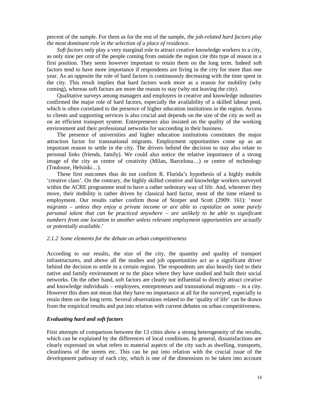percent of the sample. For them as for the rest of the sample, *the job-related hard factors play the most dominant role in the selection of a place of residence*.

*Soft factors* only play a very marginal role to attract creative knowledge workers to a city, as only nine per cent of the people coming from outside the region cite this type of reason in a first position. They seem however important to retain them on the long term. Indeed soft factors tend to have more importance if respondents are living in the city for more than one year. As an opposite the role of hard factors is continuously decreasing with the time spent in the city. This result implies that hard factors work more as a reason for mobility (why coming), whereas soft factors are more the reason to stay (why not leaving the city).

Qualitative surveys among managers and employers in creative and knowledge industries confirmed the major role of hard factors, especially the availability of a skilled labour pool, which is often correlated to the presence of higher education institutions in the region. Access to clients and supporting services is also crucial and depends on the size of the city as well as on an efficient transport system. Entrepreneurs also insisted on the quality of the working environment and their professional networks for succeeding in their business.

The presence of universities and higher education institutions constitutes the major attraction factor for transnational migrants. Employment opportunities come up as an important reason to settle in the city. The drivers behind the decision to stay also relate to personal links (friends, family). We could also notice the relative importance of a strong image of the city as centre of creativity (Milan, Barcelona…) or centre of technology (Toulouse, Helsinki…).

These first outcomes thus do not confirm R. Florida's hypothesis of a highly mobile 'creative class'. On the contrary, the highly skilled creative and knowledge workers surveyed within the ACRE programme tend to have a rather sedentary way of life. And, whenever they move, their mobility is rather driven by classical hard factor, most of the time related to employment. Our results rather confirm those of Storper and Scott (2009: 161): '*most migrants* – *unless they enjoy a private income or are able to capitalize on some purely personal talent that can be practiced anywhere – are unlikely to be able to significant numbers from one location to another unless relevant employment opportunities are actually or potentially available*.'

#### *2.1.2 Some elements for the debate on urban competitiveness*

According to our results, the size of the city, the quantity and quality of transport infrastructures, and above all the studies and job opportunities act as a significant driver behind the decision to settle in a certain region. The respondents are also heavily tied to their native and family environment or to the place where they have studied and built their social networks. On the other hand, soft factors are clearly not influential to directly attract creative and knowledge individuals – employees, entrepreneurs and transnational migrants – in a city. However this does not mean that they have no importance at all for the surveyed, especially to retain them on the long term. Several observations related to the 'quality of life' can be drawn from the empirical results and put into relation with current debates on urban competitiveness.

#### *Evaluating hard and soft factors*

First attempts of comparison between the 13 cities show a strong heterogeneity of the results, which can be explained by the differences of local conditions. In general, dissatisfactions are clearly expressed on what refers to material aspects of the city such as dwelling, transports, cleanliness of the streets etc. This can be put into relation with the crucial issue of the development pathway of each city, which is one of the dimensions to be taken into account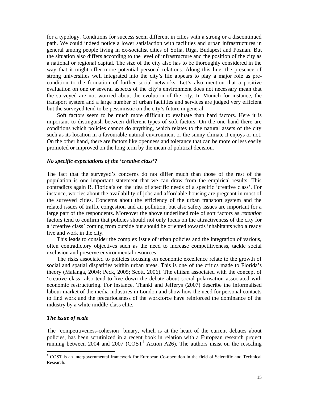for a typology. Conditions for success seem different in cities with a strong or a discontinued path. We could indeed notice a lower satisfaction with facilities and urban infrastructures in general among people living in ex-socialist cities of Sofia, Riga, Budapest and Poznan. But the situation also differs according to the level of infrastructure and the position of the city as a national or regional capital. The size of the city also has to be thoroughly considered in the way that it might offer more potential personal relations. Along this line, the presence of strong universities well integrated into the city's life appears to play a major role as precondition to the formation of further social networks. Let's also mention that a positive evaluation on one or several aspects of the city's environment does not necessary mean that the surveyed are not worried about the evolution of the city. In Munich for instance, the transport system and a large number of urban facilities and services are judged very efficient but the surveyed tend to be pessimistic on the city's future in general.

Soft factors seem to be much more difficult to evaluate than hard factors. Here it is important to distinguish between different types of soft factors. On the one hand there are conditions which policies cannot do anything, which relates to the natural assets of the city such as its location in a favourable natural environment or the sunny climate it enjoys or not. On the other hand, there are factors like openness and tolerance that can be more or less easily promoted or improved on the long term by the mean of political decision.

#### *No specific expectations of the 'creative class'?*

The fact that the surveyed's concerns do not differ much than those of the rest of the population is one important statement that we can draw from the empirical results. This contradicts again R. Florida's on the idea of specific needs of a specific 'creative class'. For instance, worries about the availability of jobs and affordable housing are pregnant in most of the surveyed cities. Concerns about the efficiency of the urban transport system and the related issues of traffic congestion and air pollution, but also safety issues are important for a large part of the respondents. Moreover the above underlined role of soft factors as *retention* factors tend to confirm that policies should not only focus on the attractiveness of the city for a 'creative class' coming from outside but should be oriented towards inhabitants who already live and work in the city.

This leads to consider the complex issue of urban policies and the integration of various, often contradictory objectives such as the need to increase competitiveness, tackle social exclusion and preserve environmental resources.

The risks associated to policies focusing on economic excellence relate to the growth of social and spatial disparities within urban areas. This is one of the critics made to Florida's theory (Malanga, 2004; Peck, 2005; Scott, 2006). The elitism associated with the concept of 'creative class' also tend to live down the debate about social polarisation associated with economic restructuring. For instance, Thanki and Jefferys (2007) describe the informalised labour market of the media industries in London and show how the need for personal contacts to find work and the precariousness of the workforce have reinforced the dominance of the industry by a white middle-class elite.

#### *The issue of scale*

The 'competitiveness-cohesion' binary, which is at the heart of the current debates about policies, has been scrutinized in a recent book in relation with a European research project running between  $2004$  and  $2007$   $(COST<sup>1</sup>$  Action A26). The authors insist on the rescaling

<sup>&</sup>lt;sup>1</sup> COST is an intergovernmental framework for European Co-operation in the field of Scientific and Technical Research.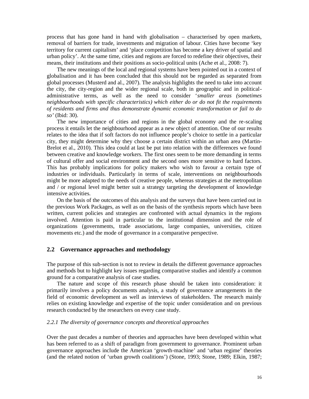process that has gone hand in hand with globalisation – characterised by open markets, removal of barriers for trade, investments and migration of labour. Cities have become 'key territory for current capitalism' and 'place competition has become a key driver of spatial and urban policy'. At the same time, cities and regions are forced to redefine their objectives, their means, their institutions and their positions as socio-political units (Ache et al.*,* 2008: 7).

The new meanings of the local and regional systems have been pointed out in a context of globalisation and it has been concluded that this should not be regarded as separated from global processes (Musterd and al., 2007). The analysis highlights the need to take into account the city, the city-region and the wider regional scale, both in geographic and in politicaladministrative terms, as well as the need to consider '*smaller areas (sometimes neighbourhoods with specific characteristics) which either do or do not fit the requirements of residents and firms and thus demonstrate dynamic economic transformation or fail to do so'* (Ibid: 30).

The new importance of cities and regions in the global economy and the re-scaling process it entails let the neighbourhood appear as a new object of attention. One of our results relates to the idea that if soft factors do not influence people's choice to settle in a particular city, they might determine why they choose a certain district within an urban area (Martin-Brelot et al., 2010). This idea could at last be put into relation with the differences we found between creative and knowledge workers. The first ones seem to be more demanding in terms of cultural offer and social environment and the second ones more sensitive to hard factors. This has probably implications for policy makers who wish to favour a certain type of industries or individuals. Particularly in terms of scale, interventions on neighbourhoods might be more adapted to the needs of creative people, whereas strategies at the metropolitan and / or regional level might better suit a strategy targeting the development of knowledge intensive activities.

On the basis of the outcomes of this analysis and the surveys that have been carried out in the previous Work Packages, as well as on the basis of the synthesis reports which have been written, current policies and strategies are confronted with actual dynamics in the regions involved. Attention is paid in particular to the institutional dimension and the role of organizations (governments, trade associations, large companies, universities, citizen movements etc.) and the mode of governance in a comparative perspective.

### **2.2 Governance approaches and methodology**

The purpose of this sub-section is not to review in details the different governance approaches and methods but to highlight key issues regarding comparative studies and identify a common ground for a comparative analysis of case studies.

The nature and scope of this research phase should be taken into consideration: it primarily involves a policy documents analysis, a study of governance arrangements in the field of economic development as well as interviews of stakeholders. The research mainly relies on existing knowledge and expertise of the topic under consideration and on previous research conducted by the researchers on every case study.

#### *2.2.1 The diversity of governance concepts and theoretical approaches*

Over the past decades a number of theories and approaches have been developed within what has been referred to as a shift of paradigm from government to governance. Prominent urban governance approaches include the American 'growth-machine' and 'urban regime' theories (and the related notion of 'urban growth coalitions') (Stone, 1993; Stone, 1989; Elkin, 1987;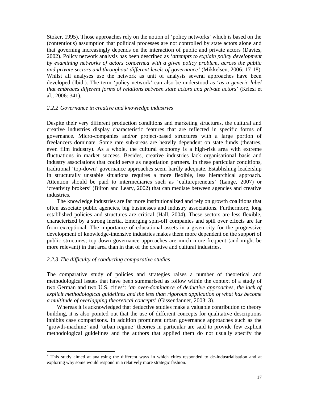Stoker, 1995). Those approaches rely on the notion of 'policy networks' which is based on the (contentious) assumption that political processes are not controlled by state actors alone and that governing increasingly depends on the interaction of public and private actors (Davies, 2002). Policy network analysis has been described as '*attempts to explain policy development by examining networks of actors concerned with a given policy problem, across the public and private sectors and throughout different levels of governance'* (Mikkelsen, 2006: 17-18). Whilst all analyses use the network as unit of analysis several approaches have been developed (Ibid.). The term 'policy network' can also be understood as '*as a generic label that embraces different forms of relations between state actors and private actors*' (Kriesi et al., 2006: 341).

#### *2.2.2 Governance in creative and knowledge industries*

Despite their very different production conditions and marketing structures, the cultural and creative industries display characteristic features that are reflected in specific forms of governance. Micro-companies and/or project-based structures with a large portion of freelancers dominate. Some rare sub-areas are heavily dependent on state funds (theatres, even film industry). As a whole, the cultural economy is a high-risk area with extreme fluctuations in market success. Besides, creative industries lack organisational basis and industry associations that could serve as negotiation partners. In these particular conditions, traditional 'top-down' governance approaches seem hardly adequate. Establishing leadership in structurally unstable situations requires a more flexible, less hierarchical approach. Attention should be paid to intermediaries such as 'culturepreneurs' (Lange, 2007) or 'creativity brokers' (Bilton and Leary, 2002) that can mediate between agencies and creative industries.

The knowledge industries are far more institutionalized and rely on growth coalitions that often associate public agencies, big businesses and industry associations. Furthermore, long established policies and structures are critical (Hall, 2004). These sectors are less flexible, characterized by a strong inertia. Emerging spin-off companies and spill over effects are far from exceptional. The importance of educational assets in a given city for the progressive development of knowledge-intensive industries makes them more dependent on the support of public structures; top-down governance approaches are much more frequent (and might be more relevant) in that area than in that of the creative and cultural industries.

#### *2.2.3 The difficulty of conducting comparative studies*

The comparative study of policies and strategies raises a number of theoretical and methodological issues that have been summarised as follow within the context of a study of two German and two U.S. cities<sup>2</sup>: 'an over-dominance of deductive approaches, the lack of *explicit methodological guidelines and the less than rigorous application of what has become a multitude of overlapping theoretical concepts*' (Gissendanner, 2003: 3).

Whereas it is acknowledged that deductive studies make a valuable contribution to theory building, it is also pointed out that the use of different concepts for qualitative descriptions inhibits case comparisons. In addition prominent urban governance approaches such as the 'growth-machine' and 'urban regime' theories in particular are said to provide few explicit methodological guidelines and the authors that applied them do not usually specify the

<sup>&</sup>lt;sup>2</sup> This study aimed at analysing the different ways in which cities responded to de-industrialisation and at exploring why some would respond in a relatively more strategic fashion.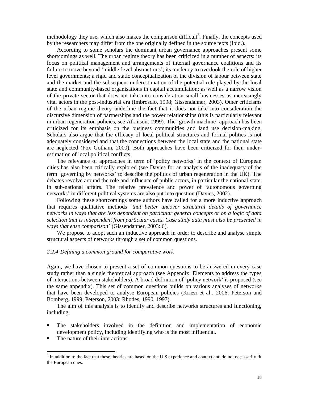methodology they use, which also makes the comparison difficult<sup>3</sup>. Finally, the concepts used by the researchers may differ from the one originally defined in the source texts (Ibid.).

According to some scholars the dominant urban governance approaches present some shortcomings as well. The urban regime theory has been criticized in a number of aspects: its focus on political management and arrangements of internal governance coalitions and its failure to move beyond 'middle-level abstractions'; its tendency to overlook the role of higher level governments; a rigid and static conceptualization of the division of labour between state and the market and the subsequent underestimation of the potential role played by the local state and community-based organisations in capital accumulation; as well as a narrow vision of the private sector that does not take into consideration small businesses as increasingly vital actors in the post-industrial era (Imbroscio, 1998; Gissendanner, 2003). Other criticisms of the urban regime theory underline the fact that it does not take into consideration the discursive dimension of partnerships and the power relationships (this is particularly relevant in urban regeneration policies, see Atkinson, 1999). The 'growth machine' approach has been criticized for its emphasis on the business communities and land use decision-making. Scholars also argue that the efficacy of local political structures and formal politics is not adequately considered and that the connections between the local state and the national state are neglected (Fox Gotham, 2000). Both approaches have been criticized for their underestimation of local political conflicts.

The relevance of approaches in term of 'policy networks' in the context of European cities has also been critically explored (see Davies for an analysis of the inadequacy of the term 'governing by networks' to describe the politics of urban regeneration in the UK). The debates revolve around the role and influence of public actors, in particular the national state, in sub-national affairs. The relative prevalence and power of 'autonomous governing networks' in different political systems are also put into question (Davies, 2002).

Following these shortcomings some authors have called for a more inductive approach that requires qualitative methods '*that better uncover structural details of governance networks in ways that are less dependent on particular general concepts or on a logic of data selection that is independent from particular cases. Case study data must also be presented in ways that ease comparison*' (Gissendanner, 2003: 6).

We propose to adopt such an inductive approach in order to describe and analyse simple structural aspects of networks through a set of common questions.

#### *2.2.4 Defining a common ground for comparative work*

Again, we have chosen to present a set of common questions to be answered in every case study rather than a single theoretical approach (see Appendix: Elements to address the types of interactions between stakeholders). A broad definition of 'policy network' is proposed (see the same appendix). This set of common questions builds on various analyses of networks that have been developed to analyse European policies (Kriesi et al*.*, 2006; Peterson and Bomberg, 1999; Peterson, 2003; Rhodes, 1990, 1997).

The aim of this analysis is to identify and describe networks structures and functioning, including:

- The stakeholders involved in the definition and implementation of economic development policy, including identifying who is the most influential.
- The nature of their interactions.

 $3$  In addition to the fact that these theories are based on the U.S experience and context and do not necessarily fit the European ones.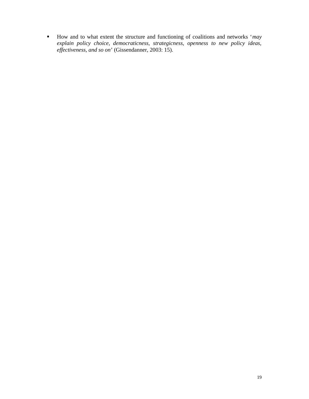How and to what extent the structure and functioning of coalitions and networks '*may explain policy choice, democraticness, strategicness, openness to new policy ideas, effectiveness, and so on*' (Gissendanner, 2003: 15).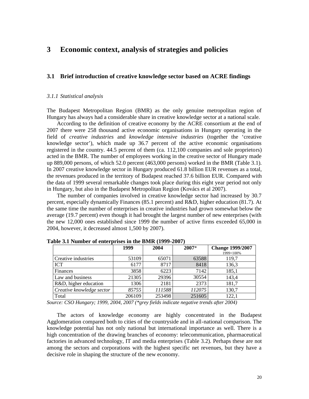# **3 Economic context, analysis of strategies and policies**

### **3.1 Brief introduction of creative knowledge sector based on ACRE findings**

#### *3.1.1 Statistical analysis*

The Budapest Metropolitan Region (BMR) as the only genuine metropolitan region of Hungary has always had a considerable share in creative knowledge sector at a national scale.

According to the definition of creative economy by the ACRE consortium at the end of 2007 there were 258 thousand active economic organisations in Hungary operating in the field of *creative industries* and *knowledge intensive industries* (together the 'creative knowledge sector'), which made up 36.7 percent of the active economic organisations registered in the country. 44.5 percent of them (ca. 112,100 companies and sole proprietors) acted in the BMR. The number of employees working in the creative sector of Hungary made up 889,000 persons, of which 52.0 percent (463,000 persons) worked in the BMR (Table 3.1). In 2007 creative knowledge sector in Hungary produced 61.8 billion EUR revenues as a total, the revenues produced in the territory of Budapest reached 37.6 billion EUR. Compared with the data of 1999 several remarkable changes took place during this eight year period not only in Hungary, but also in the Budapest Metropolitan Region (Kovács et al 2007).

The number of companies involved in creative knowledge sector had increased by 30.7 percent, especially dynamically Finances (85.1 percent) and R&D, higher education (81.7). At the same time the number of enterprises in creative industries had grown somewhat below the average (19.7 percent) even though it had brought the largest number of new enterprises (with the new 12,000 ones established since 1999 the number of active firms exceeded 65,000 in 2004, however, it decreased almost 1,500 by 2007).

|                           | 1999   | 2004   | 2007*  | <b>Change 1999/2007</b> |
|---------------------------|--------|--------|--------|-------------------------|
| Creative industries       | 53109  | 65071  | 63588  | 1999=100%<br>119,7      |
| <b>ICT</b>                | 6177   | 8717   | 8418   | 136,3                   |
| Finances                  | 3858   | 6223   | 7142   | 185,1                   |
| Law and business          | 21305  | 29396  | 30554  | 143,4                   |
| R&D, higher education     | 1306   | 2181   | 2373   | 181,7                   |
| Creative knowledge sector | 85755  | 111588 | 112075 | 130,7                   |
| Total                     | 206109 | 253498 | 251605 | 122,1                   |

**Table 3.1 Number of enterprises in the BMR (1999-2007)**

*Source: CSO Hungary; 1999, 2004, 2007 (\*grey fields indicate negative trends after 2004)*

The actors of knowledge economy are highly concentrated in the Budapest Agglomeration compared both to cities of the countryside and in all-national comparison. The knowledge potential has not only national but international importance as well. There is a high concentration of the drawing branches of economy: telecommunication, pharmaceutical factories in advanced technology, IT and media enterprises (Table 3.2). Perhaps these are not among the sectors and corporations with the highest specific net revenues, but they have a decisive role in shaping the structure of the new economy.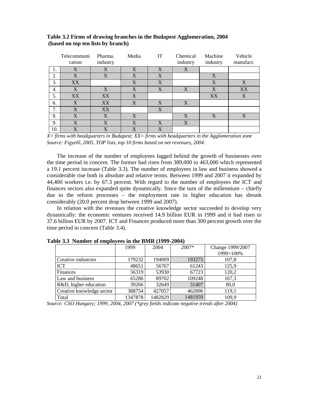|     | Telecommuni<br>cation | Pharma.<br>industry | Media        | IT           | Chemical<br>industry | Machine<br>industry | Vehicle<br>manufact. |
|-----|-----------------------|---------------------|--------------|--------------|----------------------|---------------------|----------------------|
| 1.  | $\overline{X}$        | X                   | $\mathbf{X}$ | $\mathbf{X}$ | X                    |                     |                      |
| 2.  | X                     | X                   | X            | X            |                      | X                   |                      |
| 3.  | XX                    |                     | X            | X            |                      | X                   | X                    |
| 4.  | X                     | X                   | X            | X            | X                    | X                   | XX                   |
| 5.  | XX                    | XX                  | X            |              |                      | XX                  | X                    |
| 6.  | X                     | XX                  | X            | X            | X                    |                     |                      |
| 7.  | X                     | XX                  |              | X            |                      |                     |                      |
| 8.  | X                     | X                   | X            |              | $\boldsymbol{X}$     | X                   | X                    |
| 9.  | $\mathbf{X}$          | X                   | X            | X            | X                    |                     |                      |
| 10. | $\mathbf{X}$          | X                   | $\mathbf{X}$ | X            |                      |                     |                      |

**Table 3.2 Firms of drawing branches in the Budapest Agglomeration, 2004 (based on top ten lists by branch)**

*X= firms with headquarters in Budapest; XX= firms with headquarters in the Agglomeration zone Source: Figyel, 2005, TOP lists, top 10 firms based on net revenues, 2004.* 

The increase of the number of employees lagged behind the growth of businesses over the time period in concern. The former had risen from 389,000 to 463,000 which represented a 19.1 percent increase (Table 3.3). The number of employees in law and business showed a considerable rise both in absolute and relative terms. Between 1999 and 2007 it expanded by 44,400 workers i.e. by 67.3 percent. With regard to the number of employees the ICT and finances sectors also expanded quite dynamically. Since the turn of the millennium – chiefly due to the reform processes – the employment rate in higher education has shrunk considerably (20.0 percent drop between 1999 and 2007).

In relation with the revenues the creative knowledge sector succeeded to develop very dynamically: the economic ventures received 14.9 billion EUR in 1999 and it had risen to 37.6 billion EUR by 2007. ICT and Finances produced more than 300 percent growth over the time period in concern (Table 3.4).

|                           | 1999    | 2004    | 2007*   | Change 1999/2007<br>1999=100% |
|---------------------------|---------|---------|---------|-------------------------------|
| Creative industries       | 179232  | 194009  | 193275  | 107,8                         |
| <b>ICT</b>                | 48651   | 56767   | 61243   | 125,9                         |
| Finances                  | 56319   | 53930   | 67723   | 120,2                         |
| Law and business          | 65286   | 89702   | 109248  | 167,3                         |
| R&D, higher education     | 39266   | 32649   | 31407   | 80,0                          |
| Creative knowledge sector | 388754  | 427057  | 462896  | 119,1                         |
| Total                     | 1347878 | 1482829 | 1481959 | 109,9                         |

**Table 3.3 Number of employees in the BMR (1999-2004)**

*Source: CSO Hungary; 1999, 2004, 2007 (\*grey fields indicate negative trends after 2004)*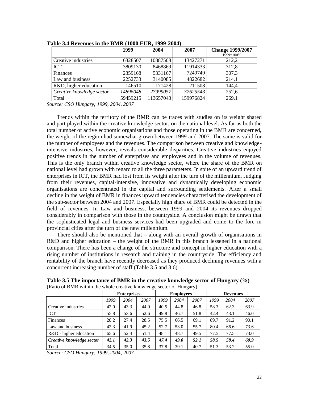|                           | 1999     | 2004      | 2007      | <b>Change 1999/2007</b><br>1999=100% |
|---------------------------|----------|-----------|-----------|--------------------------------------|
| Creative industries       | 6328507  | 10887508  | 13427271  | 212,2                                |
| <b>ICT</b>                | 3809130  | 8468869   | 11914333  | 312,8                                |
| Finances                  | 2359168  | 5331167   | 7249749   | 307,3                                |
| Law and business          | 2252733  | 3140085   | 4822682   | 214,1                                |
| R&D, higher education     | 146510   | 171428    | 211508    | 144,4                                |
| Creative knowledge sector | 14896048 | 27999057  | 37625543  | 252,6                                |
| Total                     | 59459215 | 113657043 | 159976824 | 269,1                                |

**Table 3.4 Revenues in the BMR (1000 EUR, 1999-2004)**

*Source: CSO Hungary; 1999, 2004, 2007*

Trends within the territory of the BMR can be traces with studies on its weight shared and part played within the creative knowledge sector, on the national level. As far as both the total number of active economic organisations and those operating in the BMR are concerned, the weight of the region had somewhat grown between 1999 and 2007. The same is valid for the number of employees and the revenues. The comparison between creative and knowledgeintensive industries, however, reveals considerable disparities. Creative industries enjoyed positive trends in the number of enterprises and employees and in the volume of revenues. This is the only branch within creative knowledge sector, where the share of the BMR on national level had grown with regard to all the three parameters. In spite of an upward trend of enterprises in ICT, the BMR had lost from its weight after the turn of the millennium. Judging from their revenues, capital-intensive, innovative and dynamically developing economic organisations are concentrated in the capital and surrounding settlements. After a small decline in the weight of BMR in finances upward tendencies characterised the development of the sub-sector between 2004 and 2007. Especially high share of BMR could be detected in the field of revenues. In Law and business, between 1999 and 2004 its revenues dropped considerably in comparison with those in the countryside. A conclusion might be drawn that the sophisticated legal and business services had been upgraded and come to the fore in provincial cities after the turn of the new millennium.

There should also be mentioned that – along with an overall growth of organisations in R&D and higher education – the weight of the BMR in this branch lessened in a national comparison. There has been a change of the structure and concept in higher education with a rising number of institutions in research and training in the countryside. The efficiency and rentability of the branch have recently decreased as they produced declining revenues with a concurrent increasing number of staff (Table 3.5 and 3.6).

|                           | <b>Enterprises</b> |      |      | <b>Employees</b> |      |      | <b>Revenues</b> |      |      |
|---------------------------|--------------------|------|------|------------------|------|------|-----------------|------|------|
|                           | 1999               | 2004 | 2007 | 1999             | 2004 | 2007 | 1999            | 2004 | 2007 |
| Creative industries       | 42.0               | 43.3 | 44.0 | 40.5             | 44.8 | 46.8 | 58.3            | 62.3 | 63.9 |
| ICT                       | 55.8               | 53.6 | 52.6 | 49.8             | 46.7 | 51.8 | 42.4            | 43.1 | 46.0 |
| Finances                  | 28.2               | 27.4 | 28.5 | 75.5             | 66.5 | 69.1 | 89.7            | 91.2 | 90.1 |
| Law and business          | 42.3               | 41.9 | 45.2 | 52.7             | 53.0 | 55.7 | 80.4            | 66.6 | 73.6 |
| R&D - higher education    | 65.6               | 52.4 | 51.4 | 48.1             | 48.7 | 49.5 | 77.5            | 77.5 | 73.0 |
| Creative knowledge sector | 42.1               | 42.3 | 43.5 | 47.4             | 49.0 | 52.1 | 58.5            | 58.4 | 60.9 |
| Total                     | 34.5               | 35.0 | 35.8 | 37.8             | 39.1 | 40.7 | 51.3            | 53.2 | 55.0 |

**Table 3.5 The importance of BMR in the creative knowledge sector of Hungary (%)** (Ratio of BMR within the whole creative knowledge sector of Hungary)

*Source: CSO Hungary; 1999, 2004, 2007*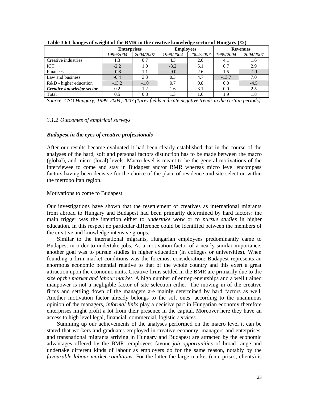|                           | <b>Enterprises</b> |           | <b>Employees</b> |           | <b>Revenues</b> |           |
|---------------------------|--------------------|-----------|------------------|-----------|-----------------|-----------|
|                           | 1999/2004          | 2004/2007 | 1999/2004        | 2004/2007 | 1999/2004       | 2004/2007 |
| Creative industries       | 1.3                | 0.7       | 4.3              | 2.0       | 4.1             | 1.6       |
| <b>ICT</b>                | $-2.2$             | 1.0       | $-3.2$           | 5.1       | 0.7             | 2.9       |
| Finances                  | $-0.8$             |           | $-9.0$           | 2.6       | 1.5             | $-1.1$    |
| Law and business          | $-0.4$             | 3.3       | 0.3              | 4.7       | $-13.7$         | 7.0       |
| R&D - higher education    | $-13.2$            | $-1.0$    | 0.7              | 0.8       | 0.0             | $-4.5$    |
| Creative knowledge sector | 0.2                | 1.2       | 1.6              | 3.1       | 0.0             | 2.5       |
| Total                     | 0.5                | $_{0.8}$  |                  | 6.،       | 1.9             | 1.8       |

**Table 3.6 Changes of weight of the BMR in the creative knowledge sector of Hungary (%)**

*Source: CSO Hungary; 1999, 2004, 2007 (\*grey fields indicate negative trends in the certain periods)*

### *3.1.2 Outcomes of empirical surveys*

### *Budapest in the eyes of creative professionals*

After our results became evaluated it had been clearly established that in the course of the analyses of the hard, soft and personal factors distinction has to be made between the macro (global), and micro (local) levels. Macro level is meant to be the general motivations of the interviewee to come and stay in Budapest and/or BMR whereas micro level encompass factors having been decisive for the choice of the place of residence and site selection within the metropolitan region.

#### Motivations to come to Budapest

Our investigations have shown that the resettlement of creatives as international migrants from abroad to Hungary and Budapest had been primarily determined by hard factors: the main trigger was the intention either to *undertake work* or to *pursue studies* in higher education. In this respect no particular difference could be identified between the members of the creative and knowledge intensive groups.

Similar to the international migrants, Hungarian employees predominantly came to Budapest in order to undertake jobs. As a motivation factor of a nearly similar importance, another goal was to pursue studies in higher education (in colleges or universities). When founding a firm market conditions was the foremost consideration: Budapest represents an enormous economic potential relative to that of the whole country and this exert a great attraction upon the economic units. Creative firms settled in the BMR are primarily due to the *size of the market and labour market*. A high number of entrepreneurships and a well trained manpower is not a negligible factor of site selection either. The moving in of the creative firms and settling down of the managers are mainly determined by hard factors as well. Another motivation factor already belongs to the soft ones: according to the unanimous opinion of the managers, *informal links* play a decisive part in Hungarian economy therefore enterprises might profit a lot from their presence in the capital. Moreover here they have an access to high level legal, financial, commercial, logistic *services*.

Summing up our achievements of the analyses performed on the macro level it can be stated that workers and graduates employed in creative economy, managers and enterprises, and transnational migrants arriving in Hungary and Budapest are attracted by the economic advantages offered by the BMR: employees favour *job opportunities* of broad range and undertake different kinds of labour as employers do for the same reason, notably by the *favourable labour market conditions*. For the latter the large market (enterprises, clients) is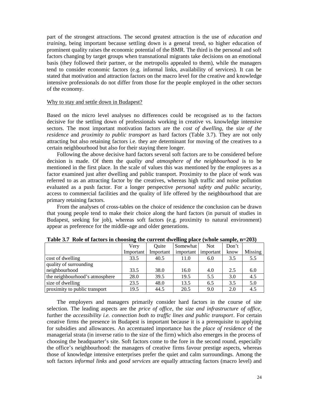part of the strongest attractions. The second greatest attraction is the use of *education and training*, being important because settling down is a general trend, so higher education of prominent quality raises the economic potential of the BMR. The third is the personal and soft factors changing by target groups when transnational migrants take decisions on an emotional basis (they followed their partner, or the metropolis appealed to them), while the managers tend to consider economic factors (e.g. informal links, availability of services). It can be stated that motivation and attraction factors on the macro level for the creative and knowledge intensive professionals do not differ from those for the people employed in the other sectors of the economy.

#### Why to stay and settle down in Budapest?

Based on the micro level analyses no differences could be recognised as to the factors decisive for the settling down of professionals working in creative vs. knowledge intensive sectors. The most important motivation factors are the *cost of dwelling*, the *size of the residence* and *proximity to public transport* as hard factors (Table 3.7). They are not only attracting but also retaining factors i.e. they are determinant for moving of the creatives to a certain neighbourhood but also for their staying there longer.

Following the above decisive hard factors several soft factors are to be considered before decision is made. Of them the *quality and atmosphere of the neighbourhood* is to be mentioned in the first place. In the scale of values this was mentioned by the employees as a factor examined just after dwelling and public transport. Proximity to the place of work was referred to as an attracting factor by the creatives, whereas high traffic and noise pollution evaluated as a push factor. For a longer perspective *personal safety and public security*, access to commercial facilities and the quality of life offered by the neighbourhood that are primary retaining factors.

From the analyses of cross-tables on the choice of residence the conclusion can be drawn that young people tend to make their choice along the hard factors (in pursuit of studies in Budapest, seeking for job), whereas soft factors (e.g. proximity to natural environment) appear as preference for the middle-age and older generations.

|                                |           |           | $\sim$ $\sim$ |            |       |         |
|--------------------------------|-----------|-----------|---------------|------------|-------|---------|
|                                | Very      | Ouite     | Somewhat      | <b>Not</b> | Don't |         |
|                                | Important | Important | important     | important  | know  | Missing |
| cost of dwelling               | 33.5      | 40.5      | 11.0          | 6.0        | 3.5   | 5.5     |
| quality of surrounding         |           |           |               |            |       |         |
| neighbourhood                  | 33.5      | 38.0      | 16.0          | 4.0        | 2.5   | 6.0     |
| the neighbourhood's atmosphere | 28.0      | 39.5      | 19.5          | 5.5        | 3.0   | 4.5     |
| size of dwelling               | 23.5      | 48.0      | 13.5          | 6.5        | 3.5   | 5.0     |
| proximity to public transport  | 19.5      | 44.5      | 20.5          | 9.0        | 2.0   | 4.5     |

**Table 3.7 Role of factors in choosing the current dwelling place (whole sample, n=203)**

The employers and managers primarily consider hard factors in the course of site selection. The leading aspects are the *price of office*, the *size and infrastructure of office*, further the *accessibility i.e. connection both to traffic lines and public transport*. For certain creative firms the presence in Budapest is important because it is a prerequisite to applying for subsidies and allowances. An accentuated importance has the *place of residence* of the managerial strata (in inverse ratio to the size of the firm) which also emerges in the process of choosing the headquarter's site. Soft factors come to the fore in the second round, especially the office's neighbourhood: the managers of creative firms favour prestige aspects, whereas those of knowledge intensive enterprises prefer the quiet and calm surroundings. Among the soft factors *informal links* and *good services* are equally attracting factors (macro level) and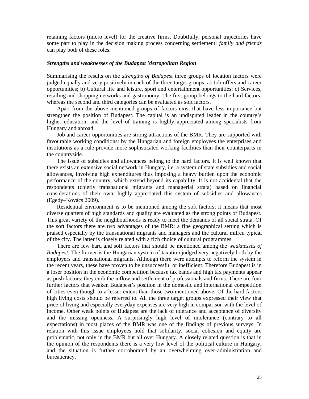retaining factors (micro level) for the creative firms. Doubtfully, personal trajectories have some part to play in the decision making process concerning settlement: *family and friends* can play both of these roles.

### *Strengths and weaknesses of the Budapest Metropolitan Region*

Summarising the results on the *strengths of Budapest* three groups of location factors were judged equally and very positively in each of the three target groups: a) Job offers and career opportunities; b) Cultural life and leisure, sport and entertainment opportunities; c) Services, retailing and shopping networks and gastronomy. The first group belongs to the hard factors, whereas the second and third categories can be evaluated as soft factors.

Apart from the above mentioned groups of factors exist that have less importance but strengthen the position of Budapest. The capital is an undisputed leader in the country's higher education, and the level of training is highly appreciated among specialists from Hungary and abroad.

Job and career opportunities are strong attractions of the BMR. They are supported with favourable working conditions: by the Hungarian and foreign employees the enterprises and institutions as a rule provide more sophisticated working facilities than their counterparts in the countryside.

The issue of subsidies and allowances belong to the hard factors. It is well known that there exists an extensive social network in Hungary, i.e. a system of state subsidies and social allowances, involving high expenditures thus imposing a heavy burden upon the economic performance of the country, which extend beyond its capability. It is not accidental that the respondents (chiefly transnational migrants and managerial strata) based on financial considerations of their own, highly appreciated this system of subsidies and allowances (Egedy–Kovács 2009).

Residential environment is to be mentioned among the soft factors; it means that most diverse quarters of high standards and quality are evaluated as the strong points of Budapest. This great variety of the neighbourhoods is ready to meet the demands of all social strata. Of the soft factors there are two advantages of the BMR: a fine geographical setting which is praised especially by the transnational migrants and managers and the cultural milieu typical of the city. The latter is closely related with a rich choice of cultural programmes.

There are few hard and soft factors that should be mentioned among the *weaknesses of Budapest.* The former is the Hungarian system of taxation judged very negatively both by the employers and transnational migrants. Although there were attempts to reform the system in the recent years, these have proven to be unsuccessful or inefficient. Therefore Budapest is in a loser position in the economic competition because tax bands and high tax payments appear as push factors: they curb the inflow and settlement of professionals and firms. There are four further factors that weaken Budapest's position in the domestic and international competition of cities even though to a lesser extent than those two mentioned above. Of the hard factors high living costs should be referred to. All the three target groups expressed their view that price of living and especially everyday expenses are very high in comparison with the level of income. Other weak points of Budapest are the lack of tolerance and acceptance of diversity and the missing openness. A surprisingly high level of intolerance (contrary to all expectations) in most places of the BMR was one of the findings of previous surveys. In relation with this issue employees hold that solidarity, social cohesion and equity are problematic, not only in the BMR but all over Hungary. A closely related question is that in the opinion of the respondents there is a very low level of the political culture in Hungary, and the situation is further corroborated by an overwhelming over-administration and bureaucracy.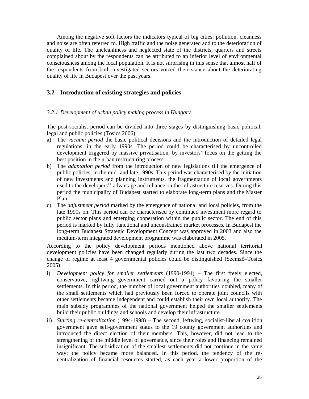Among the negative soft factors the indicators typical of big cities: pollution, cleanness and noise are often referred to. High traffic and the noise generated add to the deterioration of quality of life. The uncleanliness and neglected state of the districts, quarters and streets complained about by the respondents can be attributed to an inferior level of environmental consciousness among the local population. It is not surprising in this sense that almost half of the respondents from both investigated sectors voiced their stance about the deteriorating quality of life in Budapest over the past years.

### **3.2 Introduction of existing strategies and policies**

### *3.2.1 Development of urban policy making process in Hungary*

The post-socialist period can be divided into three stages by distinguishing basic political, legal and public policies (Tosics 2006):

- a) The *vacuum period* the basic political decisions and the introduction of detailed legal regulations, in the early 1990s. The period could be characterised by uncontrolled development triggered by massive privatisation, by investors' focus on the getting the best position in the urban restructuring process.
- b) The *adaptation period* from the introduction of new legislations till the emergence of public policies, in the mid- and late 1990s. This period was characterised by the initiation of new investments and planning instruments, the fragmentation of local governments used to the developers'' advantage and reliance on the infrastructure reserves. During this period the municipality of Budapest started to elaborate long-term plans and the Master Plan.
- c) The *adjustment period* marked by the emergence of national and local policies, from the late 1990s on. This period can be characterised by continued investment more regard to public sector plans and emerging cooperation within the public sector. The end of this period is marked by fully functional and unconstrained market processes. In Budapest the long-term Budapest Strategic Development Concept was approved in 2003 and also the medium-term integrated development programme was elaborated in 2005.

According to the policy development periods mentioned above national territorial development policies have been changed regularly during the last two decades. Since the change of regime at least 4 governmental policies could be distinguished (Szemz  $-T$ osics 2005):

- i) *Development policy for smaller settlements* (1990-1994) The first freely elected, conservative, rightwing government carried out a policy favouring the smaller settlements. In this period, the number of local government authorities doubled, many of the small settlements which had previously been forced to operate joint councils with other settlements became independent and could establish their own local authority. The main subsidy programmes of the national government helped the smaller settlements build their public buildings and schools and develop their infrastructure.
- ii) *Starting re-centralization* (1994-1998) The second, leftwing, socialist-liberal coalition government gave self-government status to the 19 county government authorities and introduced the direct election of their members. This, however, did not lead to the strengthening of the middle level of governance, since their roles and financing remained insignificant. The subsidization of the smallest settlements did not continue in the same way: the policy became more balanced. In this period, the tendency of the recentralization of financial resources started, as each year a lower proportion of the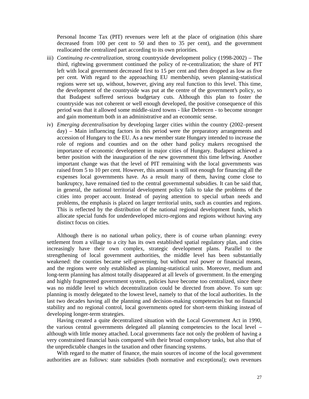Personal Income Tax (PIT) revenues were left at the place of origination (this share decreased from 100 per cent to 50 and then to 35 per cent), and the government reallocated the centralized part according to its own priorities.

- iii) *Continuing re-centralization*, strong countryside development policy (1998-2002) The third, rightwing government continued the policy of re-centralization; the share of PIT left with local government decreased first to 15 per cent and then dropped as low as five per cent. With regard to the approaching EU membership, seven planning-statistical regions were set up, without, however, giving any real function to this level. This time, the development of the countryside was put at the centre of the government's policy, so that Budapest suffered serious budgetary cuts. Although this plan to foster the countryside was not coherent or well enough developed, the positive consequence of this period was that it allowed some middle-sized towns - like Debrecen - to become stronger and gain momentum both in an administrative and an economic sense.
- iv) *Emerging decentralisation* by developing larger cities within the country (2002–present day) – Main influencing factors in this period were the preparatory arrangements and accession of Hungary to the EU. As a new member state Hungary intended to increase the role of regions and counties and on the other hand policy makers recognised the importance of economic development in major cities of Hungary. Budapest achieved a better position with the inauguration of the new government this time leftwing. Another important change was that the level of PIT remaining with the local governments was raised from 5 to 10 per cent. However, this amount is still not enough for financing all the expenses local governments have. As a result many of them, having come close to bankruptcy, have remained tied to the central governmental subsidies. It can be said that, in general, the national territorial development policy fails to take the problems of the cities into proper account. Instead of paying attention to special urban needs and problems, the emphasis is placed on larger territorial units, such as counties and regions. This is reflected by the distribution of the national regional development funds, which allocate special funds for underdeveloped micro-regions and regions without having any distinct focus on cities.

Although there is no national urban policy, there is of course urban planning: every settlement from a village to a city has its own established spatial regulatory plan, and cities increasingly have their own complex, strategic development plans. Parallel to the strengthening of local government authorities, the middle level has been substantially weakened: the counties became self-governing, but without real power or financial means, and the regions were only established as planning-statistical units. Moreover, medium and long-term planning has almost totally disappeared at all levels of government. In the emerging and highly fragmented government system, policies have become too centralized, since there was no middle level to which decentralization could be directed from above. To sum up: planning is mostly delegated to the lowest level, namely to that of the local authorities. In the last two decades having all the planning and decision-making competencies but no financial stability and no regional control, local governments opted for short-term thinking instead of developing longer-term strategies.

Having created a quite decentralized situation with the Local Government Act in 1990, the various central governments delegated all planning competencies to the local level – although with little money attached. Local governments face not only the problem of having a very constrained financial basis compared with their broad compulsory tasks, but also that of the unpredictable changes in the taxation and other financing systems.

With regard to the matter of finance, the main sources of income of the local government authorities are as follows: state subsidies (both normative and exceptional); own revenues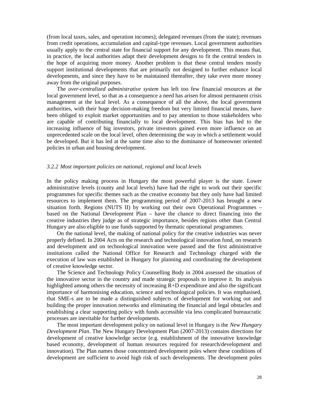(from local taxes, sales, and operation incomes); delegated revenues (from the state); revenues from credit operations, accumulation and capital-type revenues. Local government authorities usually apply to the central state for financial support for any development. This means that, in practice, the local authorities adapt their development designs to fit the central tenders in the hope of acquiring more money. Another problem is that these central tenders mostly support institutional developments that are primarily not designed to further enhance local developments, and since they have to be maintained thereafter, they take even more money away from the original purposes.

The *over-centralized administrative system* has left too few financial resources at the local government level, so that as a consequence a need has arisen for almost permanent crisis management at the local level. As a consequence of all the above, the local government authorities, with their huge decision-making freedom but very limited financial means, have been obliged to exploit market opportunities and to pay attention to those stakeholders who are capable of contributing financially to local development. This bias has led to the increasing influence of big investors, private investors gained even more influence on an unprecedented scale on the local level, often determining the way in which a settlement would be developed. But it has led at the same time also to the dominance of homeowner oriented policies in urban and housing development.

#### *3.2.2 Most important policies on national, regional and local levels*

In the policy making process in Hungary the most powerful player is the state. Lower administrative levels (county and local levels) have had the right to work out their specific programmes for specific themes such as the creative economy but they only have had limited resources to implement them. The programming period of 2007-2013 has brought a new situation forth. Regions (NUTS II) by working out their own Operational Programmes – based on the National Development Plan – have the chance to direct financing into the creative industries they judge as of strategic importance, besides regions other than Central Hungary are also eligible to use funds supported by thematic operational programmes.

On the national level, the making of national policy for the creative industries was never properly defined. In 2004 Acts on the research and technological innovation fund, on research and development and on technological innovation were passed and the first administrative institutions called the National Office for Research and Technology charged with the execution of law was established in Hungary for planning and coordinating the development of creative knowledge sector.

The Science and Technology Policy Counselling Body in 2004 assessed the situation of the innovative sector in the country and made strategic proposals to improve it. Its analysis highlighted among others the necessity of increasing R+D expenditure and also the significant importance of harmonising education, science and technological policies. It was emphasised, that SME-s are to be made a distinguished subjects of development for working out and building the proper innovation networks and eliminating the financial and legal obstacles and establishing a clear supporting policy with funds accessible via less complicated bureaucratic processes are inevitable for further developments.

The most important development policy on national level in Hungary is the *New Hungary Development Plan*. The New Hungary Development Plan (2007-2013) contains directions for development of creative knowledge sector (e.g. establishment of the innovative knowledge based economy, development of human resources required for research/development and innovation). The Plan names those concentrated development poles where these conditions of development are sufficient to avoid high risk of such developments. The development poles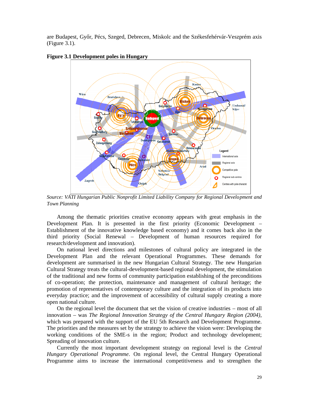are Budapest, Gy r, Pécs, Szeged, Debrecen, Miskolc and the Székesfehérvár-Veszprém axis (Figure 3.1).



**Figure 3.1 Development poles in Hungary**

*Source: VÁTI Hungarian Public Nonprofit Limited Liability Company for Regional Development and Town Planning*

Among the thematic priorities creative economy appears with great emphasis in the Development Plan. It is presented in the first priority (Economic Development – Establishment of the innovative knowledge based economy) and it comes back also in the third priority (Social Renewal – Development of human resources required for research/development and innovation).

On national level directions and milestones of cultural policy are integrated in the Development Plan and the relevant Operational Programmes. These demands for development are summarised in the new Hungarian Cultural Strategy. The new Hungarian Cultural Strategy treats the cultural-development-based regional development, the stimulation of the traditional and new forms of community participation establishing of the preconditions of co-operation; the protection, maintenance and management of cultural heritage; the promotion of representatives of contemporary culture and the integration of its products into everyday practice; and the improvement of accessibility of cultural supply creating a more open national culture.

On the regional level the document that set the vision of creative industries – most of all innovation – was *The Regional Innovation Strategy of the Central Hungary Region (2004)*, which was prepared with the support of the EU 5th Research and Development Programme. The priorities and the measures set by the strategy to achieve the vision were: Developing the working conditions of the SME-s in the region; Product and technology development; Spreading of innovation culture.

Currently the most important development strategy on regional level is the *Central Hungary Operational Programme*. On regional level, the Central Hungary Operational Programme aims to increase the international competitiveness and to strengthen the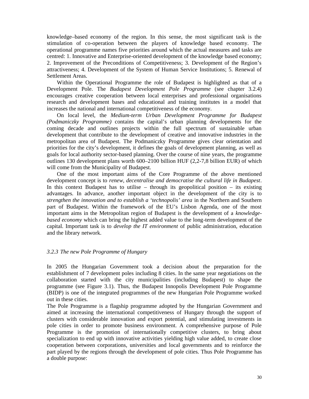knowledge–based economy of the region. In this sense, the most significant task is the stimulation of co-operation between the players of knowledge based economy. The operational programme names five priorities around which the actual measures and tasks are centred: 1. Innovative and Enterprise-oriented development of the knowledge based economy; 2. Improvement of the Preconditions of Competitiveness; 3. Development of the Region's attractiveness; 4. Development of the System of Human Service Institutions; 5. Renewal of Settlement Areas.

Within the Operational Programme the role of Budapest is highlighted as that of a Development Pole. The *Budapest Development Pole Programme* (see chapter 3.2.4) encourages creative cooperation between local enterprises and professional organisations research and development bases and educational and training institutes in a model that increases the national and international competitiveness of the economy.

On local level, the *Medium-term Urban Development Programme for Budapest (Podmaniczky Programme)* contains the capital's urban planning developments for the coming decade and outlines projects within the full spectrum of sustainable urban development that contribute to the development of creative and innovative industries in the metropolitan area of Budapest. The Podmaniczky Programme gives clear orientation and priorities for the city's development, it defines the goals of development planning, as well as goals for local authority sector-based planning. Over the course of nine years, the programme outlines 130 development plans worth 600–2100 billion HUF (2,2-7,8 billion EUR) of which will come from the Municipality of Budapest.

One of the most important aims of the Core Programme of the above mentioned development concept is to *renew, decentralise and democratise the cultural life in Budapest*. In this context Budapest has to utilise – through its geopolitical position – its existing advantages. In advance, another important object in the development of the city is to *strengthen the innovation and to establish a 'technopolis' area* in the Northern and Southern part of Budapest. Within the framework of the EU's Lisbon Agenda, one of the most important aims in the Metropolitan region of Budapest is the development of a *knowledgebased economy* which can bring the highest added value to the long-term development of the capital. Important task is to *develop the IT environment* of public administration, education and the library network.

### *3.2.3 The new Pole Programme of Hungary*

In 2005 the Hungarian Government took a decision about the preparation for the establishment of 7 development poles including 8 cities. In the same year negotiations on the collaboration started with the city municipalities (including Budapest) to shape the programme (see Figure 3.1). Thus, the Budapest Innopolis Development Pole Programme (BIDP) is one of the integrated programmes of the new Hungarian Pole Programme worked out in these cities.

The Pole Programme is a flagship programme adopted by the Hungarian Government and aimed at increasing the international competitiveness of Hungary through the support of clusters with considerable innovation and export potential, and stimulating investments in pole cities in order to promote business environment. A comprehensive purpose of Pole Programme is the promotion of internationally competitive clusters, to bring about specialization to end up with innovative activities yielding high value added, to create close cooperation between corporations, universities and local governments and to reinforce the part played by the regions through the development of pole cities. Thus Pole Programme has a double purpose: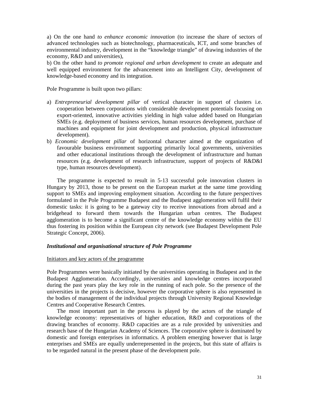a) On the one hand *to enhance economic innovation* (to increase the share of sectors of advanced technologies such as biotechnology, pharmaceuticals, ICT, and some branches of environmental industry, development in the "knowledge triangle" of drawing industries of the economy, R&D and universities),

b) On the other hand *to promote regional and urban development* to create an adequate and well equipped environment for the advancement into an Intelligent City, development of knowledge-based economy and its integration.

Pole Programme is built upon two pillars:

- a) *Entrepreneurial development pillar* of vertical character in support of clusters i.e. cooperation between corporations with considerable development potentials focusing on export-oriented, innovative activities yielding in high value added based on Hungarian SMEs (e.g. deployment of business services, human resources development, purchase of machines and equipment for joint development and production, physical infrastructure development).
- b) *Economic development pillar* of horizontal character aimed at the organization of favourable business environment supporting primarily local governments, universities and other educational institutions through the development of infrastructure and human resources (e.g. development of research infrastructure, support of projects of R&D&I type, human resources development).

The programme is expected to result in 5-13 successful pole innovation clusters in Hungary by 2013, those to be present on the European market at the same time providing support to SMEs and improving employment situation. According to the future perspectives formulated in the Pole Programme Budapest and the Budapest agglomeration will fulfil their domestic tasks: it is going to be a gateway city to receive innovations from abroad and a bridgehead to forward them towards the Hungarian urban centres. The Budapest agglomeration is to become a significant centre of the knowledge economy within the EU thus fostering its position within the European city network (see Budapest Development Pole Strategic Concept, 2006).

### *Institutional and organisational structure of Pole Programme*

#### Initiators and key actors of the programme

Pole Programmes were basically initiated by the universities operating in Budapest and in the Budapest Agglomeration. Accordingly, universities and knowledge centres incorporated during the past years play the key role in the running of each pole. So the presence of the universities in the projects is decisive, however the corporative sphere is also represented in the bodies of management of the individual projects through University Regional Knowledge Centres and Cooperative Research Centres.

The most important part in the process is played by the actors of the triangle of knowledge economy: representatives of higher education, R&D and corporations of the drawing branches of economy. R&D capacities are as a rule provided by universities and research base of the Hungarian Academy of Sciences. The corporative sphere is dominated by domestic and foreign enterprises in informatics. A problem emerging however that is large enterprises and SMEs are equally underrepresented in the projects, but this state of affairs is to be regarded natural in the present phase of the development pole.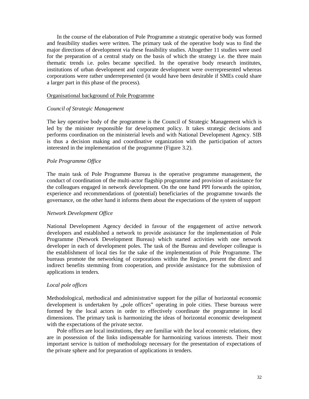In the course of the elaboration of Pole Programme a strategic operative body was formed and feasibility studies were written. The primary task of the operative body was to find the major directions of development via these feasibility studies. Altogether 11 studies were used for the preparation of a central study on the basis of which the strategy i.e. the three main thematic trends i.e. poles became specified. In the operative body research institutes, institutions of urban development and corporate development were overrepresented whereas corporations were rather underrepresented (it would have been desirable if SMEs could share a larger part in this phase of the process).

### Organisational background of Pole Programme

### *Council of Strategic Management*

The key operative body of the programme is the Council of Strategic Management which is led by the minister responsible for development policy. It takes strategic decisions and performs coordination on the ministerial levels and with National Development Agency. SIB is thus a decision making and coordinative organization with the participation of actors interested in the implementation of the programme (Figure 3.2).

### *Pole Programme Office*

The main task of Pole Programme Bureau is the operative programme management, the conduct of coordination of the multi-actor flagship programme and provision of assistance for the colleagues engaged in network development. On the one hand PPI forwards the opinion, experience and recommendations of (potential) beneficiaries of the programme towards the governance, on the other hand it informs them about the expectations of the system of support

### *Network Development Office*

National Development Agency decided in favour of the engagement of active network developers and established a network to provide assistance for the implementation of Pole Programme (Network Development Bureau) which started activities with one network developer in each of development poles. The task of the Bureau and developer colleague is the establishment of local ties for the sake of the implementation of Pole Programme. The bureaus promote the networking of corporations within the Region, present the direct and indirect benefits stemming from cooperation, and provide assistance for the submission of applications in tenders.

### *Local pole offices*

Methodological, methodical and administrative support for the pillar of horizontal economic development is undertaken by "pole offices" operating in pole cities. These bureaus were formed by the local actors in order to effectively coordinate the programme in local dimensions. The primary task is harmonizing the ideas of horizontal economic development with the expectations of the private sector.

Pole offices are local institutions, they are familiar with the local economic relations, they are in possession of the links indispensable for harmonizing various interests. Their most important service is tuition of methodology necessary for the presentation of expectations of the private sphere and for preparation of applications in tenders.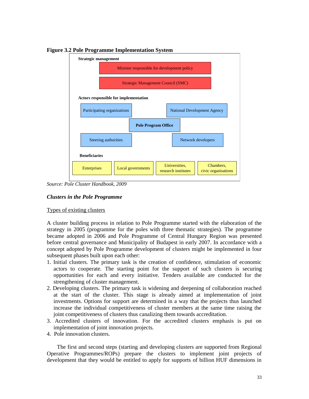

**Figure 3.2 Pole Programme Implementation System**

*Source: Pole Cluster Handbook, 2009*

### *Clusters in the Pole Programme*

### Types of existing clusters

A cluster building process in relation to Pole Programme started with the elaboration of the strategy in 2005 (programme for the poles with three thematic strategies). The programme became adopted in 2006 and Pole Programme of Central Hungary Region was presented before central governance and Municipality of Budapest in early 2007. In accordance with a concept adopted by Pole Programme development of clusters might be implemented in four subsequent phases built upon each other:

- 1. Initial clusters. The primary task is the creation of confidence, stimulation of economic actors to cooperate. The starting point for the support of such clusters is securing opportunities for each and every initiative. Tenders available are conducted for the strengthening of cluster management.
- 2. Developing clusters. The primary task is widening and deepening of collaboration reached at the start of the cluster. This stage is already aimed at implementation of joint investments. Options for support are determined in a way that the projects thus launched increase the individual competitiveness of cluster members at the same time raising the joint competitiveness of clusters thus canalizing them towards accreditation.
- 3. Accredited clusters of innovation. For the accredited clusters emphasis is put on implementation of joint innovation projects.
- 4. Pole innovation clusters.

The first and second steps (starting and developing clusters are supported from Regional Operative Programmes/ROPs) prepare the clusters to implement joint projects of development that they would be entitled to apply for supports of billion HUF dimensions in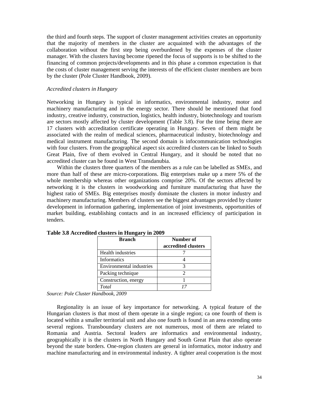the third and fourth steps. The support of cluster management activities creates an opportunity that the majority of members in the cluster are acquainted with the advantages of the collaboration without the first step being overburdened by the expenses of the cluster manager. With the clusters having become ripened the focus of supports is to be shifted to the financing of common projects/developments and in this phase a common expectation is that the costs of cluster management serving the interests of the efficient cluster members are born by the cluster (Pole Cluster Handbook, 2009).

#### *Accredited clusters in Hungary*

Networking in Hungary is typical in informatics, environmental industry, motor and machinery manufacturing and in the energy sector. There should be mentioned that food industry, creative industry, construction, logistics, health industry, biotechnology and tourism are sectors mostly affected by cluster development (Table 3.8). For the time being there are 17 clusters with accreditation certificate operating in Hungary. Seven of them might be associated with the realm of medical sciences, pharmaceutical industry, biotechnology and medical instrument manufacturing. The second domain is infocommunication technologies with four clusters. From the geographical aspect six accredited clusters can be linked to South Great Plain, five of them evolved in Central Hungary, and it should be noted that no accredited cluster can be found in West Transdanubia.

Within the clusters three quarters of the members as a rule can be labelled as SMEs, and more than half of these are micro-corporations. Big enterprises make up a mere 5% of the whole membership whereas other organizations comprise 20%. Of the sectors affected by networking it is the clusters in woodworking and furniture manufacturing that have the highest ratio of SMEs. Big enterprises mostly dominate the clusters in motor industry and machinery manufacturing. Members of clusters see the biggest advantages provided by cluster development in information gathering, implementation of joint investments, opportunities of market building, establishing contacts and in an increased efficiency of participation in tenders.

| <b>Branch</b>            | Number of           |
|--------------------------|---------------------|
|                          | accredited clusters |
| Health industries        |                     |
| <b>Informatics</b>       |                     |
| Environmental industries |                     |
| Packing technique        |                     |
| Construction, energy     |                     |
| Total                    |                     |

**Table 3.8 Accredited clusters in Hungary in 2009**

*Source: Pole Cluster Handbook, 2009*

Regionality is an issue of key importance for networking. A typical feature of the Hungarian clusters is that most of them operate in a single region; ca one fourth of them is located within a smaller territorial unit and also one fourth is found in an area extending onto several regions. Transboundary clusters are not numerous, most of them are related to Romania and Austria. Sectoral leaders are informatics and environmental industry, geographically it is the clusters in North Hungary and South Great Plain that also operate beyond the state borders. One-region clusters are general in informatics, motor industry and machine manufacturing and in environmental industry. A tighter areal cooperation is the most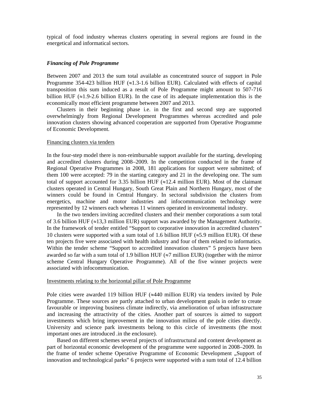typical of food industry whereas clusters operating in several regions are found in the energetical and informatical sectors.

### *Financing of Pole Programme*

Between 2007 and 2013 the sum total available as concentrated source of support in Pole Programme 354-423 billion HUF  $(\approx 1.3$ -1.6 billion EUR). Calculated with effects of capital transposition this sum induced as a result of Pole Programme might amount to 507-716 billion HUF  $(\approx 1.9-2.6$  billion EUR). In the case of its adequate implementation this is the economically most efficient programme between 2007 and 2013.

Clusters in their beginning phase i.e. in the first and second step are supported overwhelmingly from Regional Development Programmes whereas accredited and pole innovation clusters showing advanced cooperation are supported from Operative Programme of Economic Development.

#### Financing clusters via tenders

In the four-step model there is non-reimbursable support available for the starting, developing and accredited clusters during 2008–2009. In the competition conducted in the frame of Regional Operative Programmes in 2008, 181 applications for support were submitted; of them 100 were accepted: 79 in the starting category and 21 in the developing one. The sum total of support accounted for 3.35 billion HUF  $(\approx 12.4 \text{ million EUR})$ . Most of the claimant clusters operated in Central Hungary, South Great Plain and Northern Hungary, most of the winners could be found in Central Hungary. In sectoral subdivision the clusters from energetics, machine and motor industries and infocommunication technology were represented by 12 winners each whereas 11 winners operated in environmental industry.

In the two tenders inviting accredited clusters and their member corporations a sum total of 3.6 billion HUF ( $\approx$ 13,3 million EUR) support was awarded by the Management Authority. In the framework of tender entitled "Support to corporative innovation in accredited clusters" 10 clusters were supported with a sum total of 1.6 billion HUF ( $\approx$ 5.9 million EUR). Of these ten projects five were associated with health industry and four of them related to informatics. Within the tender scheme "Support to accredited innovation clusters" 5 projects have been awarded so far with a sum total of 1.9 billion HUF ( $\approx$ 7 million EUR) (together with the mirror scheme Central Hungary Operative Programme). All of the five winner projects were associated with infocommunication.

#### Investments relating to the horizontal pillar of Pole Programme

Pole cities were awarded 119 billion HUF  $(\approx 440 \text{ million EUR})$  via tenders invited by Pole Programme. These sources are partly attached to urban development goals in order to create favourable or improving business climate indirectly, via amelioration of urban infrastructure and increasing the attractivity of the cities. Another part of sources is aimed to support investments which bring improvement in the innovation milieu of the pole cities directly. University and science park investments belong to this circle of investments (the most important ones are introduced .in the enclosure).

Based on different schemes several projects of infrastructural and content development as part of horizontal economic development of the programme were supported in 2008–2009. In the frame of tender scheme Operative Programme of Economic Development "Support of innovation and technological parks" 6 projects were supported with a sum total of 12.4 billion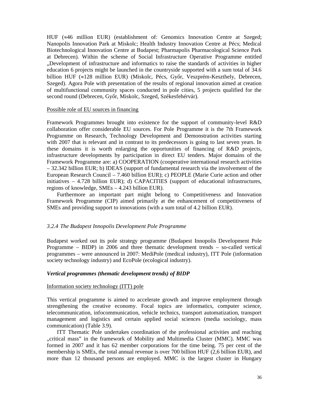HUF  $(\approx 46$  million EUR) (establishment of: Genomics Innovation Centre at Szeged; Nanopolis Innovation Park at Miskolc; Health Industry Innovation Centre at Pécs; Medical Biotechnological Innovation Centre at Budapest; Pharmapolis Pharmacological Science Park at Debrecen). Within the scheme of Social Infrastructure Operative Programme entitled "Development of infrastructure and informatics to raise the standards of activities in higher education 6 projects might be launched in the countryside supported with a sum total of 34.6 billion HUF ( $\approx$ 128 million EUR) (Miskolc, Pécs, Gy r, Veszprém-Keszthely, Debrecen, Szeged). Agora Pole with presentation of the results of regional innovation aimed at creation of multifunctional community spaces conducted in pole cities, 5 projects qualified for the second round (Debrecen, Gy r, Miskolc, Szeged, Székesfehérvár).

#### Possible role of EU sources in financing

Framework Programmes brought into existence for the support of community-level R&D collaboration offer considerable EU sources. For Pole Programme it is the 7th Framework Programme on Research, Technology Development and Demonstration activities starting with 2007 that is relevant and in contrast to its predecessors is going to last seven years. In these domains it is worth enlarging the opportunities of financing of R&D projects, infrastructure developments by participation in direct EU tenders. Major domains of the Framework Programme are: a) COOPERATION (cooperative international research activities – 32.342 billion EUR; b) IDEAS (support of fundamental research via the involvement of the European Research Council – 7.460 billion EUR); c) PEOPLE (Marie Curie action and other initiatives – 4.728 billion EUR); d) CAPACITIES (support of educational infrastructures, regions of knowledge, SMEs – 4.243 billion EUR).

Furthermore an important part might belong to Competitiveness and Innovation Framework Programme (CIP) aimed primarily at the enhancement of competitiveness of SMEs and providing support to innovations (with a sum total of 4.2 billion EUR).

#### *3.2.4 The Budapest Innopolis Development Pole Programme*

Budapest worked out its pole strategy programme (Budapest Innopolis Development Pole Programme – BIDP) in 2006 and three thematic development trends – so-called vertical programmes – were announced in 2007: MediPole (medical industry), ITT Pole (information society technology industry) and EcoPole (ecological industry).

### *Vertical programmes (thematic development trends) of BIDP*

### Information society technology (ITT) pole

This vertical programme is aimed to accelerate growth and improve employment through strengthening the creative economy. Focal topics are informatics, computer science, telecommunication, infocommunication, vehicle technics, transport automatization, transport management and logistics and certain applied social sciences (media sociology, mass communication) (Table 3.9).

ITT Thematic Pole undertakes coordination of the professional activities and reaching "critical mass" in the framework of Mobility and Multimedia Cluster (MMC). MMC was formed in 2007 and it has 62 member corporations for the time being. 75 per cent of the membership is SMEs, the total annual revenue is over 700 billion HUF (2,6 billion EUR), and more than 12 thousand persons are employed. MMC is the largest cluster in Hungary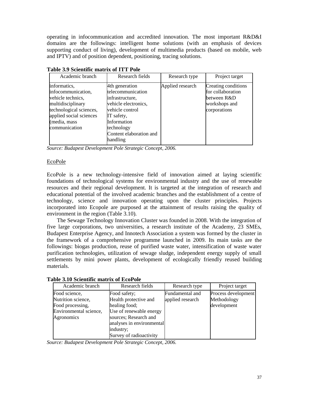operating in infocommunication and accredited innovation. The most important R&D&I domains are the followings: intelligent home solutions (with an emphasis of devices supporting conduct of living), development of multimedia products (based on mobile, web and IPTV) and of position dependent, positioning, tracing solutions.

| Academic branch                                                                                                                                                     | Research fields                                                                                                                                                                     | Research type    | Project target                                                                           |
|---------------------------------------------------------------------------------------------------------------------------------------------------------------------|-------------------------------------------------------------------------------------------------------------------------------------------------------------------------------------|------------------|------------------------------------------------------------------------------------------|
| informatics,<br>infocommunication,<br>vehicle technics,<br>multidisciplinary<br>technological sciences,<br>applied social sciences<br>(media, mass<br>communication | 4th generation<br>telecommunication<br>infrastructure,<br>vehicle electronics,<br>vehicle control<br>IT safety,<br>Information<br>technology<br>Content elaboration and<br>handling | Applied research | Creating conditions<br>for collaboration<br>between R&D<br>workshops and<br>corporations |

**Table 3.9 Scientific matrix of ITT Pole**

*Source: Budapest Development Pole Strategic Concept, 2006.*

### EcoPole

EcoPole is a new technology-intensive field of innovation aimed at laying scientific foundations of technological systems for environmental industry and the use of renewable resources and their regional development. It is targeted at the integration of research and educational potential of the involved academic branches and the establishment of a centre of technology, science and innovation operating upon the cluster principles. Projects incorporated into Ecopole are purposed at the attainment of results raising the quality of environment in the region (Table 3.10).

The Sewage Technology Innovation Cluster was founded in 2008. With the integration of five large corporations, two universities, a research institute of the Academy, 23 SMEs, Budapest Enterprise Agency, and Innotech Association a system was formed by the cluster in the framework of a comprehensive programme launched in 2009. Its main tasks are the followings: biogas production, reuse of purified waste water, intensification of waste water purification technologies, utilization of sewage sludge, independent energy supply of small settlements by mini power plants, development of ecologically friendly reused building materials.

| Academic branch        | Research fields           | Research type    | Project target      |
|------------------------|---------------------------|------------------|---------------------|
| Food science,          | Food safety;              | Fundamental and  | Process development |
| Nutrition science,     | Health protective and     | applied research | Methodology         |
| Food processing,       | healing food;             |                  | development         |
| Environmental science, | Use of renewable energy   |                  |                     |
| Agronomics             | sources; Research and     |                  |                     |
|                        | analyses in environmental |                  |                     |
|                        | industry;                 |                  |                     |
|                        | Survey of radioactivity   |                  |                     |

**Table 3.10 Scientific matrix of EcoPole**

*Source: Budapest Development Pole Strategic Concept, 2006.*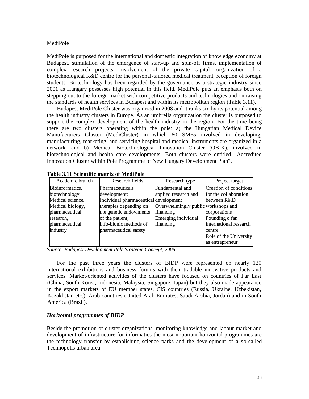### MediPole

MediPole is purposed for the international and domestic integration of knowledge economy at Budapest, stimulation of the emergence of start-up and spin-off firms, implementation of complex research projects, involvement of the private capital, organization of a biotechnological R&D centre for the personal-tailored medical treatment, reception of foreign students. Biotechnology has been regarded by the governance as a strategic industry since 2001 as Hungary possesses high potential in this field. MediPole puts an emphasis both on stepping out to the foreign market with competitive products and technologies and on raising the standards of health services in Budapest and within its metropolitan region (Table 3.11).

Budapest MediPole Cluster was organized in 2008 and it ranks six by its potential among the health industry clusters in Europe. As an umbrella organization the cluster is purposed to support the complex development of the health industry in the region. For the time being there are two clusters operating within the pole: a) the Hungarian Medical Device Manufacturers Cluster (MediCluster) in which 60 SMEs involved in developing, manufacturing, marketing, and servicing hospital and medical instruments are organized in a network, and b) Medical Biotechnological Innovation Cluster (OBIK), involved in biotechnological and health care developments. Both clusters were entitled "Accredited Innovation Cluster within Pole Programme of New Hungary Development Plan".

| Academic branch  | Research fields                       | Research type                       | Project target         |
|------------------|---------------------------------------|-------------------------------------|------------------------|
| Bioinformatics,  | Pharmaceuticals                       | Fundamental and                     | Creation of conditions |
| biotechnology,   | development;                          | applied research and                | for the collaboration  |
| Medical science, | Individual pharmaceutical development |                                     | between R&D            |
| Medical biology, | therapies depending on                | Overwhelmingly public workshops and |                        |
| pharmaceutical   | the genetic endowments                | financing                           | corporations           |
| research,        | of the patient;                       | Emerging individual                 | Founding o fan         |
| pharmaceutical   | info-bionic methods of                | financing                           | international research |
| industry         | pharmaceutical safety                 |                                     | centre                 |
|                  |                                       |                                     | Role of the University |
|                  |                                       |                                     | as entrepreneur        |

| <b>Table 3.11 Scientific matrix of MediPole</b> |  |  |  |  |
|-------------------------------------------------|--|--|--|--|
|-------------------------------------------------|--|--|--|--|

*Source: Budapest Development Pole Strategic Concept, 2006.*

For the past three years the clusters of BIDP were represented on nearly 120 international exhibitions and business forums with their tradable innovative products and services. Market-oriented activities of the clusters have focused on countries of Far East (China, South Korea, Indonesia, Malaysia, Singapore, Japan) but they also made appearance in the export markets of EU member states, CIS countries (Russia, Ukraine, Uzbekistan, Kazakhstan etc.), Arab countries (United Arab Emirates, Saudi Arabia, Jordan) and in South America (Brazil).

### *Horizontal programmes of BIDP*

Beside the promotion of cluster organizations, monitoring knowledge and labour market and development of infrastructure for informatics the most important horizontal programmes are the technology transfer by establishing science parks and the development of a so-called Technopolis urban area: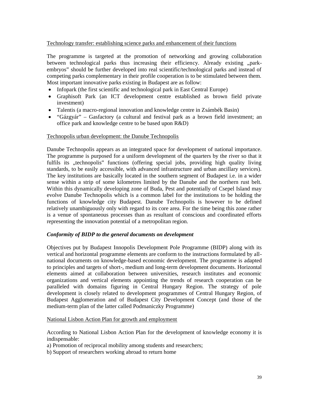### Technology transfer: establishing science parks and enhancement of their functions

The programme is targeted at the promotion of networking and growing collaboration between technological parks thus increasing their efficiency. Already existing "parkembryos" should be further developed into real scientific/technological parks and instead of competing parks complementary in their profile cooperation is to be stimulated between them. Most important innovative parks existing in Budapest are as follow:

- Infopark (the first scientific and technological park in East Central Europe)
- Graphisoft Park (an ICT development centre established as brown field private investment)
- Talentis (a macro-regional innovation and knowledge centre in Zsámbék Basin)
- "Gázgyár" Gasfactory (a cultural and festival park as a brown field investment; an office park and knowledge centre to be based upon R&D)

### Technopolis urban development: the Danube Technopolis

Danube Technopolis appears as an integrated space for development of national importance. The programme is purposed for a uniform development of the quarters by the river so that it fulfils its "technopolis" functions (offering special jobs, providing high quality living standards, to be easily accessible, with advanced infrastructure and urban ancillary services). The key institutions are basically located in the southern segment of Budapest i.e. in a wider sense within a strip of some kilometres limited by the Danube and the northern rust belt. Within this dynamically developing zone of Buda, Pest and potentially of Csepel Island may evolve Danube Technopolis which is a common label for the institutions to be holding the functions of knowledge city Budapest. Danube Technopolis is however to be defined relatively unambiguously only with regard to its core area. For the time being this zone rather is a venue of spontaneous processes than as resultant of conscious and coordinated efforts representing the innovation potential of a metropolitan region.

### *Conformity of BIDP to the general documents on development*

Objectives put by Budapest Innopolis Development Pole Programme (BIDP) along with its vertical and horizontal programme elements are conform to the instructions formulated by allnational documents on knowledge-based economic development. The programme is adapted to principles and targets of short-, medium and long-term development documents. Horizontal elements aimed at collaboration between universities, research institutes and economic organizations and vertical elements appointing the trends of research cooperation can be paralleled with domains figuring in Central Hungary Region. The strategy of pole development is closely related to development programmes of Central Hungary Region, of Budapest Agglomeration and of Budapest City Development Concept (and those of the medium-term plan of the latter called Podmaniczky Programme)

### National Lisbon Action Plan for growth and employment

According to National Lisbon Action Plan for the development of knowledge economy it is indispensable:

- a) Promotion of reciprocal mobility among students and researchers;
- b) Support of researchers working abroad to return home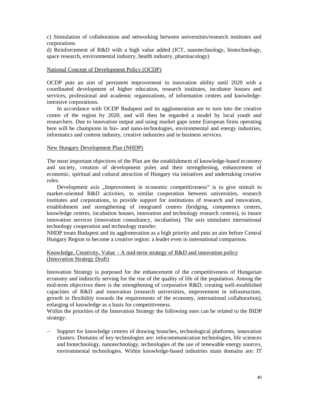c) Stimulation of collaboration and networking between universities/research institutes and corporations

d) Reinforcement of R&D with a high value added (ICT, nanotechnology, biotechnology, space research, environmental industry, health industry, pharmacology)

#### National Concept of Development Policy (OCDP)

OCDP puts an aim of persistent improvement in innovation ability until 2020 with a coordinated development of higher education, research institutes, incubator houses and services, professional and academic organizations, of information centres and knowledgeintensive corporations.

In accordance with OCDP Budapest and its agglomeration are to turn into the creative centre of the region by 2020, and will then be regarded a model by local youth and researchers. Due to innovation output and using market gaps some European firms operating here will be champions in bio- and nano-technologies, environmental and energy industries, informatics and content industry, creative industries and in business services.

### New Hungary Development Plan (NHDP)

The most important objectives of the Plan are the establishment of knowledge-based economy and society, creation of development poles and their strengthening, enhancement of economic, spiritual and cultural attraction of Hungary via initiatives and undertaking creative roles.

Development axis "Improvement in economic competitiveness" is to give stimuli to market-oriented R&D activities, to similar cooperation between universities, research institutes and corporations, to provide support for institutions of research and innovation, establishment and strengthening of integrated centres (bridging, competence centres, knowledge centres, incubation houses, innovation and technology research centres), to insure innovation services (innovation consultancy, incubation). The axis stimulates international technology cooperation and technology transfer.

NHDP treats Budapest and its agglomeration as a high priority and puts an aim before Central Hungary Region to become a creative region: a leader even in international comparison.

### Knowledge, Creativity, Value – A mid-term strategy of R&D and innovation policy (Innovation Strategy Draft)

Innovation Strategy is purposed for the enhancement of the competitiveness of Hungarian economy and indirectly serving for the rise of the quality of life of the population. Among the mid-term objectives there is the strengthening of corporative R&D, creating well-established capacities of R&D and innovation (research universities, improvement in infrastructure, growth in flexibility towards the requirements of the economy, international collaboration), enlarging of knowledge as a basis for competitiveness.

Within the priorities of the Innovation Strategy the following ones can be related to the BIDP strategy:

 Support for knowledge centres of drawing branches, technological platforms, innovation clusters. Domains of key technologies are: infocommunication technologies, life sciences and biotechnology, nanotechnology, technologies of the use of renewable energy sources, environmental technologies. Within knowledge-based industries main domains are: IT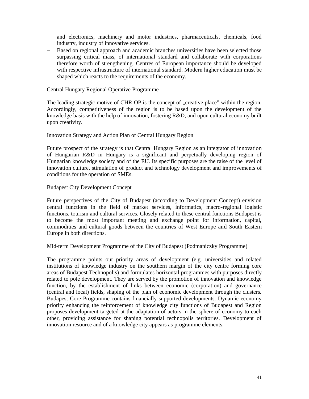and electronics, machinery and motor industries, pharmaceuticals, chemicals, food industry, industry of innovative services.

 Based on regional approach and academic branches universities have been selected those surpassing critical mass, of international standard and collaborate with corporations therefore worth of strengthening. Centres of European importance should be developed with respective infrastructure of international standard. Modern higher education must be shaped which reacts to the requirements of the economy.

### Central Hungary Regional Operative Programme

The leading strategic motive of CHR OP is the concept of "creative place" within the region. Accordingly, competitiveness of the region is to be based upon the development of the knowledge basis with the help of innovation, fostering R&D, and upon cultural economy built upon creativity.

### Innovation Strategy and Action Plan of Central Hungary Region

Future prospect of the strategy is that Central Hungary Region as an integrator of innovation of Hungarian R&D in Hungary is a significant and perpetually developing region of Hungarian knowledge society and of the EU. Its specific purposes are the raise of the level of innovation culture, stimulation of product and technology development and improvements of conditions for the operation of SMEs.

### Budapest City Development Concept

Future perspectives of the City of Budapest (according to Development Concept) envision central functions in the field of market services, informatics, macro-regional logistic functions, tourism and cultural services. Closely related to these central functions Budapest is to become the most important meeting and exchange point for information, capital, commodities and cultural goods between the countries of West Europe and South Eastern Europe in both directions.

#### Mid-term Development Programme of the City of Budapest (Podmaniczky Programme)

The programme points out priority areas of development (e.g. universities and related institutions of knowledge industry on the southern margin of the city centre forming core areas of Budapest Technopolis) and formulates horizontal programmes with purposes directly related to pole development. They are served by the promotion of innovation and knowledge function, by the establishment of links between economic (corporation) and governance (central and local) fields, shaping of the plan of economic development through the clusters. Budapest Core Programme contains financially supported developments. Dynamic economy priority enhancing the reinforcement of knowledge city functions of Budapest and Region proposes development targeted at the adaptation of actors in the sphere of economy to each other, providing assistance for shaping potential technopolis territories. Development of innovation resource and of a knowledge city appears as programme elements.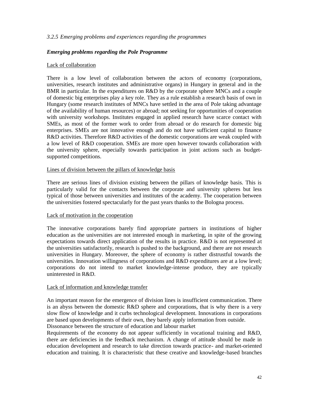### *3.2.5 Emerging problems and experiences regarding the programmes*

### *Emerging problems regarding the Pole Programme*

### Lack of collaboration

There is a low level of collaboration between the actors of economy (corporations, universities, research institutes and administrative organs) in Hungary in general and in the BMR in particular. In the expenditures on R&D by the corporate sphere MNCs and a couple of domestic big enterprises play a key role. They as a rule establish a research basis of own in Hungary (some research institutes of MNCs have settled in the area of Pole taking advantage of the availability of human resources) or abroad; not seeking for opportunities of cooperation with university workshops. Institutes engaged in applied research have scarce contact with SMEs, as most of the former work to order from abroad or do research for domestic big enterprises. SMEs are not innovative enough and do not have sufficient capital to finance R&D activities. Therefore R&D activities of the domestic corporations are weak coupled with a low level of R&D cooperation. SMEs are more open however towards collaboration with the university sphere, especially towards participation in joint actions such as budgetsupported competitions.

### Lines of division between the pillars of knowledge basis

There are serious lines of division existing between the pillars of knowledge basis. This is particularly valid for the contacts between the corporate and university spheres but less typical of those between universities and institutes of the academy. The cooperation between the universities fostered spectacularly for the past years thanks to the Bologna process.

### Lack of motivation in the cooperation

The innovative corporations barely find appropriate partners in institutions of higher education as the universities are not interested enough in marketing, in spite of the growing expectations towards direct application of the results in practice. R&D is not represented at the universities satisfactorily, research is pushed to the background, and there are not research universities in Hungary. Moreover, the sphere of economy is rather distrustful towards the universities. Innovation willingness of corporations and R&D expenditures are at a low level; corporations do not intend to market knowledge-intense produce, they are typically uninterested in R&D.

#### Lack of information and knowledge transfer

An important reason for the emergence of division lines is insufficient communication. There is an abyss between the domestic R&D sphere and corporations, that is why there is a very slow flow of knowledge and it curbs technological development. Innovations in corporations are based upon developments of their own, they barely apply information from outside. Dissonance between the structure of education and labour market

Requirements of the economy do not appear sufficiently in vocational training and R&D, there are deficiencies in the feedback mechanism. A change of attitude should be made in education development and research to take direction towards practice- and market-oriented education and training. It is characteristic that these creative and knowledge-based branches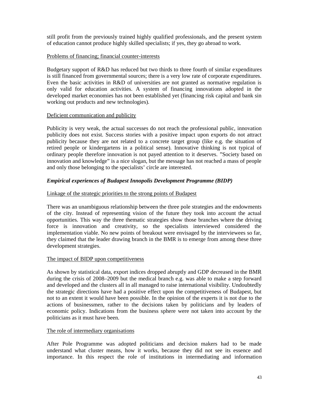still profit from the previously trained highly qualified professionals, and the present system of education cannot produce highly skilled specialists; if yes, they go abroad to work.

### Problems of financing; financial counter-interests

Budgetary support of R&D has reduced but two thirds to three fourth of similar expenditures is still financed from governmental sources; there is a very low rate of corporate expenditures. Even the basic activities in R&D of universities are not granted as normative regulation is only valid for education activities. A system of financing innovations adopted in the developed market economies has not been established yet (financing risk capital and bank sin working out products and new technologies).

### Deficient communication and publicity

Publicity is very weak, the actual successes do not reach the professional public, innovation publicity does not exist. Success stories with a positive impact upon exports do not attract publicity because they are not related to a concrete target group (like e.g. the situation of retired people or kindergartens in a political sense). Innovative thinking is not typical of ordinary people therefore innovation is not payed attention to it deserves. "Society based on innovation and knowledge" is a nice slogan, but the message has not reached a mass of people and only those belonging to the specialists' circle are interested.

### *Empirical experiences of Budapest Innopolis Development Programme (BIDP)*

### Linkage of the strategic priorities to the strong points of Budapest

There was an unambiguous relationship between the three pole strategies and the endowments of the city. Instead of representing vision of the future they took into account the actual opportunities. This way the three thematic strategies show those branches where the driving force is innovation and creativity, so the specialists interviewed considered the implementation viable. No new points of breakout were envisaged by the interviewees so far, they claimed that the leader drawing branch in the BMR is to emerge from among these three development strategies.

### The impact of BIDP upon competitiveness

As shown by statistical data, export indices dropped abruptly and GDP decreased in the BMR during the crisis of 2008–2009 but the medical branch e.g. was able to make a step forward and developed and the clusters all in all managed to raise international visibility. Undoubtedly the strategic directions have had a positive effect upon the competitiveness of Budapest, but not to an extent it would have been possible. In the opinion of the experts it is not due to the actions of businessmen, rather to the decisions taken by politicians and by leaders of economic policy. Indications from the business sphere were not taken into account by the politicians as it must have been.

### The role of intermediary organisations

After Pole Programme was adopted politicians and decision makers had to be made understand what cluster means, how it works, because they did not see its essence and importance. In this respect the role of institutions in intermediating and information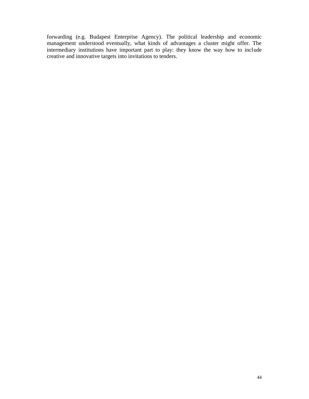forwarding (e.g. Budapest Enterprise Agency). The political leadership and economic management understood eventually, what kinds of advantages a cluster might offer. The intermediary institutions have important part to play: they know the way how to include creative and innovative targets into invitations to tenders.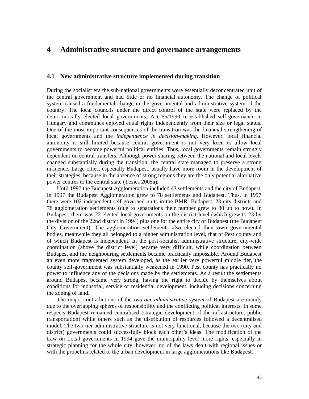## **4 Administrative structure and governance arrangements**

### **4.1 New administrative structure implemented during transition**

During the socialist era the sub-national governments were essentially deconcentrated unit of the central government and had little or no financial autonomy. The change of political system caused a fundamental change in the governmental and administrative system of the country. The local councils under the direct control of the state were replaced by the democratically elected local governments. Act 65/1990 re-established self-governance in Hungary and communes enjoyed equal rights independently from their size or legal status. One of the most important consequences of the transition was the financial strengthening of local governments and the *independence in decision-making*. However, local financial autonomy is still limited because central government is not very keen to allow local governments to become powerful political entities. Thus, local governments remain strongly dependent on central transfers. Although power sharing between the national and local levels changed substantially during the transition, the central state managed to preserve a strong influence. Large cities, especially Budapest, usually have more room in the development of their strategies, because in the absence of strong regions they are the only potential alternative power centres to the central state (Tosics 2005a).

Until 1997 the Budapest Agglomeration included 43 settlements and the city of Budapest. In 1997 the Budapest Agglomeration grew to 78 settlements and Budapest. Thus, in 1997 there were 102 independent self-governed units in the BMR: Budapest, 23 city districts and 78 agglomeration settlements (due to separations their number grew to 80 up to now). In Budapest, there was 22 elected local governments on the district level (which grew to 23 by the division of the 22nd district in 1994) plus one for the entire city of Budapest (the Budapest City Government). The agglomeration settlements also elected their own governmental bodies, meanwhile they all belonged to a higher administration level, that of Pest county and of which Budapest is independent. In the post-socialist administrative structure, city-wide coordination (above the district level) became very difficult, while coordination between Budapest and the neighbouring settlements became practically impossible. Around Budapest an even more fragmented system developed, as the earlier very powerful middle tier, the county self-government was substantially weakened in 1990. Pest county has practically no power to influence any of the decisions made by the settlements. As a result the settlements around Budapest became very strong, having the right to decide by themselves about conditions for industrial, service or residential development, including decisions concerning the zoning of land.

The major contradictions of the *two-tier administrative system* of Budapest are mainly due to the overlapping spheres of responsibility and the conflicting political interests. In some respects Budapest remained centralised (strategic development of the infrastructure, public transportation) while others such as the distribution of resources followed a decentralised model. The two-tier administrative structure is not very functional, because the two (city and district) governments could successfully block each other's ideas. The modification of the Law on Local governments in 1994 gave the municipality level more rights, especially in strategic planning for the whole city, however, no of the laws dealt with regional issues or with the probelms related to the urban development in large agglomerations like Budapest.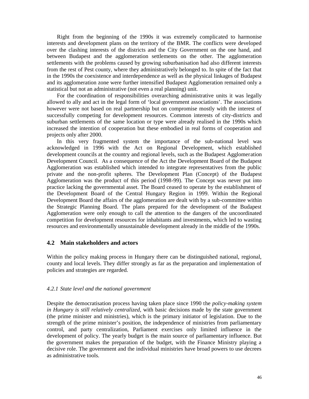Right from the beginning of the 1990s it was extremely complicated to harmonise interests and development plans on the territory of the BMR. The conflicts were developed over the clashing interests of the districts and the City Government on the one hand, and between Budapest and the agglomeration settlements on the other. The agglomeration settlements with the problems caused by growing suburbanisation had also different interests from the rest of Pest county, where they administratively belonged to. In spite of the fact that in the 1990s the coexistence and interdependence as well as the physical linkages of Budapest and its agglomeration zone were further intensified Budapest Agglomeration remained only a statistical but not an administrative (not even a real planning) unit.

For the coordination of responsibilities overarching administrative units it was legally allowed to ally and act in the legal form of 'local government associations'. The associations however were not based on real partnership but on compromise mostly with the interest of successfully competing for development resources. Common interests of city-districts and suburban settlements of the same location or type were already realised in the 1990s which increased the intention of cooperation but these embodied in real forms of cooperation and projects only after 2000.

In this very fragmented system the importance of the sub-national level was acknowledged in 1996 with the Act on Regional Development, which established development councils at the country and regional levels, such as the Budapest Agglomeration Development Council. As a consequence of the Act the Development Board of the Budapest Agglomeration was established which intended to integrate representatives from the public private and the non-profit spheres. The Development Plan (Concept) of the Budapest Agglomeration was the product of this period (1998-99). The Concept was never put into practice lacking the governmental asset. The Board ceased to operate by the establishment of the Development Board of the Central Hungary Region in 1999. Within the Regional Development Board the affairs of the agglomeration are dealt with by a sub-committee within the Strategic Planning Board. The plans prepared for the development of the Budapest Agglomeration were only enough to call the attention to the dangers of the uncoordinated competition for development resources for inhabitants and investments, which led to wasting resources and environmentally unsustainable development already in the middle of the 1990s.

### **4.2 Main stakeholders and actors**

Within the policy making process in Hungary there can be distinguished national, regional, county and local levels. They differ strongly as far as the preparation and implementation of policies and strategies are regarded.

#### *4.2.1 State level and the national government*

Despite the democratisation process having taken place since 1990 the *policy-making system in Hungary is still relatively centralized*, with basic decisions made by the state government (the prime minister and ministries), which is the primary initiator of legislation. Due to the strength of the prime minister's position, the independence of ministries from parliamentary control, and party centralization, Parliament exercises only limited influence in the development of policy. The yearly budget is the main source of parliamentary influence. But the government makes the preparation of the budget, with the Finance Ministry playing a decisive role. The government and the individual ministries have broad powers to use decrees as administrative tools.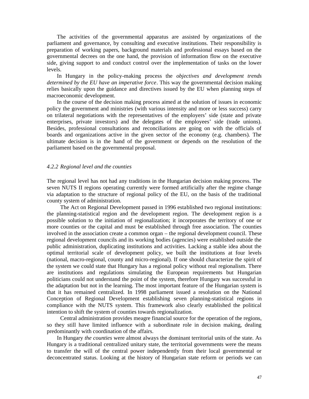The activities of the governmental apparatus are assisted by organizations of the parliament and governance, by consulting and executive institutions. Their responsibility is preparation of working papers, background materials and professional essays based on the governmental decrees on the one hand, the provision of information flow on the executive side, giving support to and conduct control over the implementation of tasks on the lower levels.

In Hungary in the policy-making process the *objectives and development trends determined by the EU have an imperative force*. This way the governmental decision making relies basically upon the guidance and directives issued by the EU when planning steps of macroeconomic development.

In the course of the decision making process aimed at the solution of issues in economic policy the government and ministries (with various intensity and more or less success) carry on trilateral negotiations with the representatives of the employers' side (state and private enterprises, private investors) and the delegates of the employees' side (trade unions). Besides, professional consultations and reconciliations are going on with the officials of boards and organizations active in the given sector of the economy (e.g. chambers). The ultimate decision is in the hand of the government or depends on the resolution of the parliament based on the governmental proposal.

#### *4.2.2 Regional level and the counties*

The regional level has not had any traditions in the Hungarian decision making process. The seven NUTS II regions operating currently were formed artificially after the regime change via adaptation to the structure of regional policy of the EU, on the basis of the traditional county system of administration.

The Act on Regional Development passed in 1996 established two regional institutions: the planning-statistical region and the development region. The development region is a possible solution to the initiation of regionalization; it incorporates the territory of one or more counties or the capital and must be established through free association. The counties involved in the association create a common organ – the regional development council. These regional development councils and its working bodies (agencies) were established outside the public administration, duplicating institutions and activities. Lacking a stable idea about the optimal territorial scale of development policy, we built the institutions at four levels (national, macro-regional, county and micro-regional). If one should characterize the spirit of the system we could state that Hungary has a regional policy without real regionalism. There are institutions and regulations simulating the European requirements but Hungarian politicians could not understand the point of the system, therefore Hungary was successful in the adaptation but not in the learning. The most important feature of the Hungarian system is that it has remained centralized. In 1998 parliament issued a resolution on the National Conception of Regional Development establishing seven planning-statistical regions in compliance with the NUTS system. This framework also clearly established the political intention to shift the system of counties towards regionalization.

Central administration provides meagre financial source for the operation of the regions, so they still have limited influence with a subordinate role in decision making, dealing predominantly with coordination of the affairs.

In Hungary *the counties* were almost always the dominant territorial units of the state. As Hungary is a traditional centralized unitary state, the territorial governments were the means to transfer the will of the central power independently from their local governmental or deconcentrated status. Looking at the history of Hungarian state reform or periods we can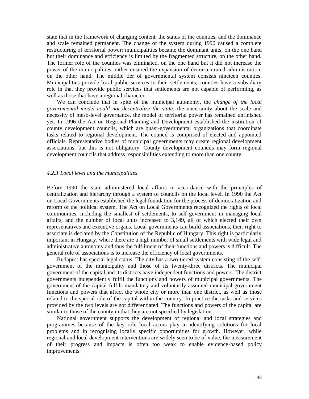state that in the framework of changing content, the status of the counties, and the dominance and scale remained permanent. The change of the system during 1990 caused a complete restructuring of territorial power: municipalities became the dominant units, on the one hand but their dominance and efficiency is limited by the fragmented structure, on the other hand. The former role of the counties was eliminated, on the one hand but it did not increase the power of the municipalities, rather ensured the expansion of deconcentrated administration, on the other hand. The middle tier of governmental system consists nineteen counties. Municipalities provide local public services to their settlements; counties have a subsidiary role in that they provide public services that settlements are not capable of performing, as well as those that have a regional character.

We can conclude that in spite of the municipal autonomy, the *change of the local governmental model could not decentralize the state*, the uncertainty about the scale and necessity of meso-level governance, the model of territorial power has remained unfinished yet. In 1996 the Act on Regional Planning and Development established the institution of county development councils, which are quasi-governmental organizations that coordinate tasks related to regional development. The council is comprised of elected and appointed officials. Representative bodies of municipal governments may create regional development associations, but this is not obligatory. County development councils may form regional development councils that address responsibilities extending to more than one county.

### *4.2.3 Local level and the municipalities*

Before 1990 the state administered local affairs in accordance with the principles of centralization and hierarchy through a system of councils on the local level. In 1990 the Act on Local Governments established the legal foundation for the process of democratization and reform of the political system. The Act on Local Governments recognized the rights of local communities, including the smallest of settlements, to self-government in managing local affairs, and the number of local units increased to 3,149, all of which elected their own representatives and executive organs. Local governments can build associations, their right to associate is declared by the Constitution of the Republic of Hungary. This right is particularly important in Hungary, where there are a high number of small settlements with wide legal and administrative autonomy and thus the fulfilment of their functions and powers is difficult. The general role of associations is to increase the efficiency of local governments.

Budapest has special legal status. The city has a two-tiered system consisting of the selfgovernment of the municipality and those of its twenty-three districts. The municipal government of the capital and its districts have independent functions and powers. The district governments independently fulfil the functions and powers of municipal governments. The government of the capital fulfils mandatory and voluntarily assumed municipal government functions and powers that affect the whole city or more than one district, as well as those related to the special role of the capital within the country. In practice the tasks and services provided by the two levels are not differentiated. The functions and powers of the capital are similar to those of the county in that they are not specified by legislation.

National government supports the development of regional and local strategies and programmes because of the key role local actors play in identifying solutions for local problems and in recognising locally specific opportunities for growth. However, while regional and local development interventions are widely seen to be of value, the measurement of their progress and impacts is often too weak to enable evidence-based policy improvements.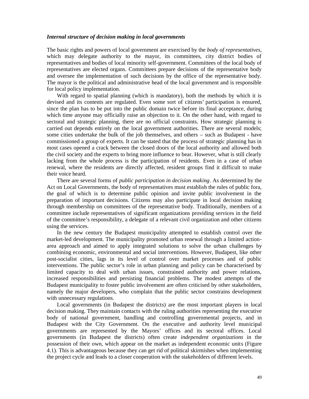#### *Internal structure of decision making in local governments*

The basic rights and powers of local government are exercised by the *body of representatives*, which may delegate authority to the mayor, its committees, city district bodies of representatives and bodies of local minority self-government. Committees of the local body of representatives are elected organs. Committees prepare decisions of the representative body and oversee the implementation of such decisions by the office of the representative body. The mayor is the political and administrative head of the local government and is responsible for local policy implementation.

With regard to spatial planning (which is mandatory), both the methods by which it is devised and its contents are regulated. Even some sort of citizens' participation is ensured, since the plan has to be put into the public domain twice before its final acceptance, during which time anyone may officially raise an objection to it. On the other hand, with regard to sectoral and strategic planning, there are no official constraints. How strategic planning is carried out depends entirely on the local government authorities. There are several models; some cities undertake the bulk of the job themselves, and others – such as Budapest - have commissioned a group of experts. It can be stated that the process of strategic planning has in most cases opened a crack between the closed doors of the local authority and allowed both the civil society and the experts to bring more influence to bear. However, what is still clearly lacking from the whole process is the participation of residents. Even in a case of urban renewal, where the residents are directly affected, resident groups find it difficult to make their voice heard.

There are several forms of *public participation in decision making*. As determined by the Act on Local Governments, the body of representatives must establish the rules of public fora, the goal of which is to determine public opinion and invite public involvement in the preparation of important decisions. Citizens may also participate in local decision making through membership on committees of the representative body. Traditionally, members of a committee include representatives of significant organizations providing services in the field of the committee's responsibility, a delegate of a relevant civil organization and other citizens using the services.

In the new century the Budapest municipality attempted to establish control over the market-led development. The municipality promoted urban renewal through a limited actionarea approach and aimed to apply integrated solutions to solve the urban challenges by combining economic, environmental and social interventions. However, Budapest, like other post-socialist cities, lags in its level of control over market processes and of public interventions. The public sector's role in urban planning and policy can be characterised by limited capacity to deal with urban issues, constrained authority and power relations, increased responsibilities and persisting financial problems. The modest attempts of the Budapest municipality to foster public involvement are often criticised by other stakeholders, namely the major developers, who complain that the public sector constrains development with unnecessary regulations.

Local governments (in Budapest the districts) are the most important players in local decision making. They maintain contacts with the ruling authorities representing the executive body of national government, handling and controlling governmental projects, and in Budapest with the City Government. On the executive and authority level municipal governments are represented by the Mayors' offices and its sectoral offices. Local governments (in Budapest the districts) often create *independent organizations* in the possession of their own, which appear on the market as independent economic units (Figure 4.1). This is advantageous because they can get rid of political skirmishes when implementing the project cycle and leads to a closer cooperation with the stakeholders of different levels.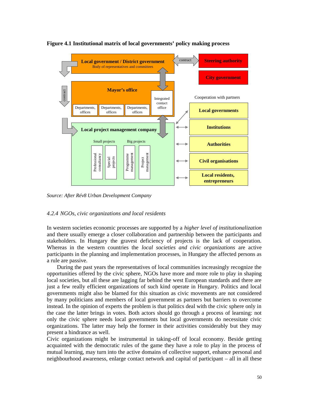

**Figure 4.1 Institutional matrix of local governments' policy making process**

*Source: After Rév8 Urban Development Company*

#### *4.2.4 NGOs, civic organizations and local residents*

In western societies economic processes are supported by a *higher level of institutionalization* and there usually emerge a closer collaboration and partnership between the participants and stakeholders. In Hungary the gravest deficiency of projects is the lack of cooperation. Whereas in the western countries the *local societies and civic organizations* are active participants in the planning and implementation processes, in Hungary the affected persons as a rule are passive.

During the past years the representatives of local communities increasingly recognize the opportunities offered by the civic sphere, NGOs have more and more role to play in shaping local societies, but all these are lagging far behind the west European standards and there are just a few really efficient organizations of such kind operate in Hungary. Politics and local governments might also be blamed for this situation as civic movements are not considered by many politicians and members of local government as partners but barriers to overcome instead. In the opinion of experts the problem is that politics deal with the civic sphere only in the case the latter brings in votes. Both actors should go through a process of learning: not only the civic sphere needs local governments but local governments do necessitate civic organizations. The latter may help the former in their activities considerably but they may present a hindrance as well.

Civic organizations might be instrumental in taking-off of local economy. Beside getting acquainted with the democratic rules of the game they have a role to play in the process of mutual learning, may turn into the active domains of collective support, enhance personal and neighbourhood awareness, enlarge contact network and capital of participant – all in all these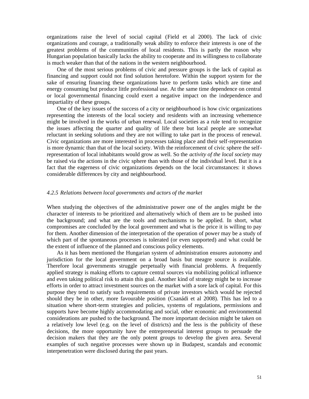organizations raise the level of social capital (Field et al 2000). The lack of civic organizations and courage, a traditionally weak ability to enforce their interests is one of the greatest problems of the communities of local residents. This is partly the reason why Hungarian population basically lacks the ability to cooperate and its willingness to collaborate is much weaker than that of the nations in the western neighbourhood.

One of the most serious problems of civic and pressure groups is the lack of capital as financing and support could not find solution heretofore. Within the support system for the sake of ensuring financing these organizations have to perform tasks which are time and energy consuming but produce little professional use. At the same time dependence on central or local governmental financing could exert a negative impact on the independence and impartiality of these groups.

One of the key issues of the success of a city or neighbourhood is how civic organizations representing the interests of the local society and residents with an increasing vehemence might be involved in the works of urban renewal. Local societies as a rule tend to recognize the issues affecting the quarter and quality of life there but local people are somewhat reluctant in seeking solutions and they are not willing to take part in the process of renewal. Civic organizations are more interested in processes taking place and their self-representation is more dynamic than that of the local society. With the reinforcement of civic sphere the selfrepresentation of local inhabitants would grow as well. So the *activity of the local society* may be raised via the actions in the civic sphere than with those of the individual level. But it is a fact that the eagerness of civic organizations depends on the local circumstances: it shows considerable differences by city and neighbourhood.

#### *4.2.5 Relations between local governments and actors of the market*

When studying the objectives of the administrative power one of the angles might be the character of interests to be prioritized and alternatively which of them are to be pushed into the background; and what are the tools and mechanisms to be applied. In short, what compromises are concluded by the local government and what is the price it is willing to pay for them. Another dimension of the interpretation of the operation of power may be a study of which part of the spontaneous processes is tolerated (or even supported) and what could be the extent of influence of the planned and conscious policy elements.

As it has been mentioned the Hungarian system of administration ensures autonomy and jurisdiction for the local government on a broad basis but meagre source is available. Therefore local governments struggle perpetually with financial problems. A frequently applied strategy is making efforts to capture central sources via mobilizing political influence and even taking political risk to attain this goal. Another kind of strategy might be to increase efforts in order to attract investment sources on the market with a sore lack of capital. For this purpose they tend to satisfy such requirements of private investors which would be rejected should they be in other, more favourable position (Csanádi et al 2008). This has led to a situation where short-term strategies and policies, systems of regulations, permissions and supports have become highly accommodating and social, other economic and environmental considerations are pushed to the background. The more important decision might be taken on a relatively low level (e.g. on the level of districts) and the less is the publicity of these decisions, the more opportunity have the entrepreneurial interest groups to persuade the decision makers that they are the only potent groups to develop the given area. Several examples of such negative processes were shown up in Budapest, scandals and economic interpenetration were disclosed during the past years.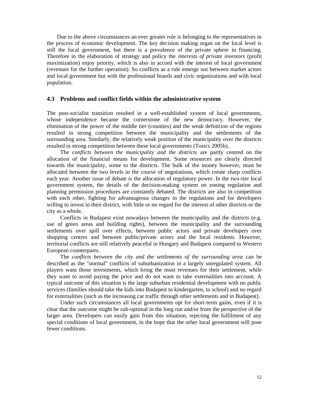Due to the above circumstances an ever greater role is belonging to the representatives in the process of economic development. The key decision making organ on the local level is still the local government, but there is a prevalence of the private sphere in financing. Therefore in the elaboration of strategy and policy the *interests of private investors* (profit maximization) enjoy priority, which is also in accord with the interest of local government (revenues for the further operation). So conflicts as a rule emerge not between market actors and local government but with the professional boards and civic organizations and with local population.

### **4.3 Problems and conflict fields within the administrative system**

The post-socialist transition resulted in a well-established system of local governments, whose independence became the cornerstone of the new democracy. However, the elimination of the power of the middle tier (counties) and the weak definition of the regions resulted in strong competition between the municipality and the settlements of the surrounding area. Similarly, the relatively weak position of the municipality over the districts resulted in strong competition between these local governments (Tosics 2005b).

The *conflicts between the municipality and the districts* are partly centred on the allocation of the financial means for development. Some resources are clearly directed towards the municipality, some to the districts. The bulk of the money however, must be allocated between the two levels in the course of negotiations, which create sharp conflicts each year. Another issue of debate is the allocation of regulatory power. In the two-tier local government system, the details of the decision-making system on zoning regulation and planning permission procedures are constantly debated. The districts are also in competition with each other, fighting for advantageous changes in the regulations and for developers willing to invest in their district, with little or no regard for the interest of other districts or the city as a whole.

Conflicts in Budapest exist nowadays between the municipality and the districts (e.g. use of green areas and building rights), between the municipality and the surrounding settlements over spill over effects, between public actors and private developers over shopping centres and between public/private actors and the local residents. However, territorial conflicts are still relatively peaceful in Hungary and Budapest compared to Western European counterparts.

The *conflicts between the city and the settlements of the surrounding area* can be described as the "normal" conflicts of suburbanization in a largely unregulated system. All players want those investments, which bring the most revenues for their settlement, while they want to avoid paying the price and do not want to take externalities into account. A typical outcome of this situation is the large suburban residential development with no public services (families should take the kids into Budapest to kindergarten, to school) and no regard for externalities (such as the increasing car traffic through other settlements and in Budapest).

Under such circumstances all local governments opt for short-term gains, even if it is clear that the outcome might be sub-optimal in the long run and/or from the perspective of the larger area. Developers can easily gain from this situation, rejecting the fulfilment of any special conditions of local government, in the hope that the other local government will pose fewer conditions.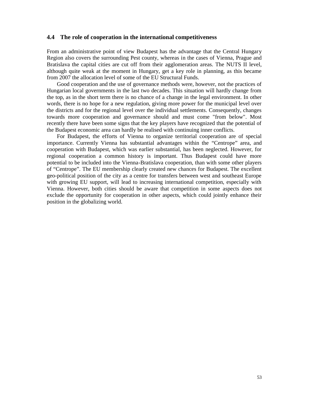### **4.4 The role of cooperation in the international competitiveness**

From an administrative point of view Budapest has the advantage that the Central Hungary Region also covers the surrounding Pest county, whereas in the cases of Vienna, Prague and Bratislava the capital cities are cut off from their agglomeration areas. The NUTS II level, although quite weak at the moment in Hungary, get a key role in planning, as this became from 2007 the allocation level of some of the EU Structural Funds.

Good cooperation and the use of governance methods were, however, not the practices of Hungarian local governments in the last two decades. This situation will hardly change from the top, as in the short term there is no chance of a change in the legal environment. In other words, there is no hope for a new regulation, giving more power for the municipal level over the districts and for the regional level over the individual settlements. Consequently, changes towards more cooperation and governance should and must come "from below". Most recently there have been some signs that the key players have recognized that the potential of the Budapest economic area can hardly be realised with continuing inner conflicts.

For Budapest, the efforts of Vienna to organize territorial cooperation are of special importance. Currently Vienna has substantial advantages within the "Centrope" area, and cooperation with Budapest, which was earlier substantial, has been neglected. However, for regional cooperation a common history is important. Thus Budapest could have more potential to be included into the Vienna-Bratislava cooperation, than with some other players of "Centrope". The EU membership clearly created new chances for Budapest. The excellent geo-political position of the city as a centre for transfers between west and southeast Europe with growing EU support, will lead to increasing international competition, especially with Vienna. However, both cities should be aware that competition in some aspects does not exclude the opportunity for cooperation in other aspects, which could jointly enhance their position in the globalizing world.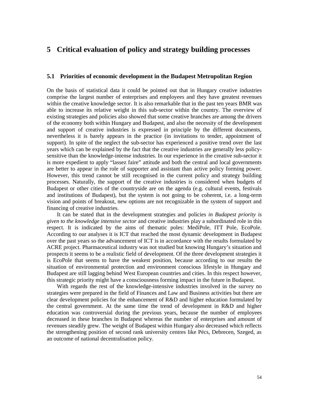# **5 Critical evaluation of policy and strategy building processes**

### **5.1 Priorities of economic development in the Budapest Metropolitan Region**

On the basis of statistical data it could be pointed out that in Hungary creative industries comprise the largest number of enterprises and employees and they have greatest revenues within the creative knowledge sector. It is also remarkable that in the past ten years BMR was able to increase its relative weight in this sub-sector within the country. The overview of existing strategies and policies also showed that some creative branches are among the drivers of the economy both within Hungary and Budapest, and also the necessity of the development and support of creative industries is expressed in principle by the different documents, nevertheless it is barely appears in the practice (in invitations to tender, appointment of support). In spite of the neglect the sub-sector has experienced a positive trend over the last years which can be explained by the fact that the creative industries are generally less policysensitive than the knowledge-intense industries. In our experience in the creative sub-sector it is more expedient to apply "lassez faire" attitude and both the central and local governments are better to appear in the role of supporter and assistant than active policy forming power. However, this trend cannot be still recognised in the current policy and strategy building processes. Naturally, the support of the creative industries is considered when budgets of Budapest or other cities of the countryside are on the agenda (e.g. cultural events, festivals and institutions of Budapest), but the system is not going to be coherent, i.e. a long-term vision and points of breakout, new options are not recognizable in the system of support and financing of creative industries.

It can be stated that in the development strategies and policies *in Budapest priority is given to the knowledge intensive sector* and creative industries play a subordinated role in this respect. It is indicated by the aims of thematic poles: MediPole, ITT Pole, EcoPole. According to our analyses it is ICT that reached the most dynamic development in Budapest over the past years so the advancement of ICT is in accordance with the results formulated by ACRE project. Pharmaceutical industry was not studied but knowing Hungary's situation and prospects it seems to be a realistic field of development. Of the three development strategies it is EcoPole that seems to have the weakest position, because according to our results the situation of environmental protection and environment conscious lifestyle in Hungary and Budapest are still lagging behind West European countries and cities. In this respect however, this strategic priority might have a consciousness forming impact in the future in Budapest.

With regards the rest of the knowledge-intensive industries involved in the survey no strategies were prepared in the field of Finances and Law and Business activities but there are clear development policies for the enhancement of R&D and higher education formulated by the central government. At the same time the trend of development in R&D and higher education was controversial during the previous years, because the number of employees decreased in these branches in Budapest whereas the number of enterprises and amount of revenues steadily grew. The weight of Budapest within Hungary also decreased which reflects the strengthening position of second rank university centres like Pécs, Debrecen, Szeged, as an outcome of national decentralisation policy.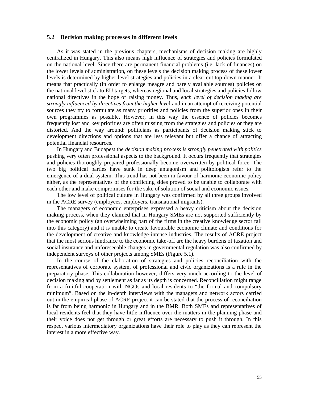### **5.2 Decision making processes in different levels**

As it was stated in the previous chapters, mechanisms of decision making are highly centralized in Hungary. This also means high influence of strategies and policies formulated on the national level. Since there are permanent financial problems (i.e. lack of finances) on the lower levels of administration, on these levels the decision making process of these lower levels is determined by higher level strategies and policies in a clear-cut top-down manner. It means that practically (in order to enlarge meagre and barely available sources) policies on the national level stick to EU targets, whereas regional and local strategies and policies follow national directives in the hope of raising money. Thus, *each level of decision making are strongly influenced by directives from the higher leve*l and in an attempt of receiving potential sources they try to formulate as many priorities and policies from the superior ones in their own programmes as possible. However, in this way the essence of policies becomes frequently lost and key priorities are often missing from the strategies and policies or they are distorted. And the way around: politicians as participants of decision making stick to development directions and options that are less relevant but offer a chance of attracting potential financial resources.

In Hungary and Budapest the *decision making process is strongly penetrated with politics* pushing very often professional aspects to the background. It occurs frequently that strategies and policies thoroughly prepared professionally become overwritten by political force. The two big political parties have sunk in deep antagonism and politologists refer to the emergence of a dual system. This trend has not been in favour of harmonic economic policy either, as the representatives of the conflicting sides proved to be unable to collaborate with each other and make compromises for the sake of solution of social and economic issues.

The low level of political culture in Hungary was confirmed by all three groups involved in the ACRE survey (employees, employers, transnational migrants).

The managers of economic enterprises expressed a heavy criticism about the decision making process, when they claimed that in Hungary SMEs are not supported sufficiently by the economic policy (an overwhelming part of the firms in the creative knowledge sector fall into this category) and it is unable to create favourable economic climate and conditions for the development of creative and knowledge-intense industries. The results of ACRE project that the most serious hindrance to the economic take-off are the heavy burdens of taxation and social insurance and unforeseeable changes in governmental regulation was also confirmed by independent surveys of other projects among SMEs (Figure 5.1).

In the course of the elaboration of strategies and policies reconciliation with the representatives of corporate system, of professional and civic organizations is a rule in the preparatory phase. This collaboration however, differs very much according to the level of decision making and by settlement as far as its depth is concerned. Reconciliation might range from a fruitful cooperation with NGOs and local residents to "the formal and compulsory minimum". Based on the in-depth interviews with the managers and network actors carried out in the empirical phase of ACRE project it can be stated that the process of reconciliation is far from being harmonic in Hungary and in the BMR. Both SMEs and representatives of local residents feel that they have little influence over the matters in the planning phase and their voice does not get through or great efforts are necessary to push it through. In this respect various intermediatory organizations have their role to play as they can represent the interest in a more effective way.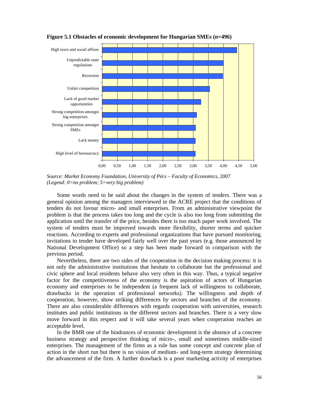

**Figure 5.1 Obstacles of economic development for Hungarian SMEs (n=496)**

*Source: Market Economy Foundation, University of Pécs – Faculty of Economics, 2007 (Legend: 0=no problem; 5=very big problem)*

Some words need to be said about the changes in the system of tenders. There was a general opinion among the managers interviewed in the ACRE project that the conditions of tenders do not favour micro- and small enterprises. From an administrative viewpoint the problem is that the process takes too long and the cycle is also too long from submitting the application until the transfer of the price, besides there is too much paper work involved. The system of tenders must be improved towards more flexibility, shorter terms and quicker reactions. According to experts and professional organizations that have pursued monitoring, invitations to tender have developed fairly well over the past years (e.g. those announced by National Development Office) so a step has been made forward in comparison with the previous period.

Nevertheless, there are two sides of the cooperation in the decision making process: it is not only the administrative institutions that hesitate to collaborate but the professional and civic sphere and local residents behave also very often in this way. Thus, a typical negative factor for the competitiveness of the economy is the aspiration of actors of Hungarian economy and enterprises to be independent (a frequent lack of willingness to collaborate, drawbacks in the operation of professional networks). The willingness and depth of cooperation, however, show striking differences by sectors and branches of the economy. There are also considerable differences with regards cooperation with universities, research institutes and public institutions in the different sectors and branches. There is a very slow move forward in this respect and it will take several years when cooperation reaches an acceptable level.

In the BMR one of the hindrances of economic development is the absence of a concrete business strategy and perspective thinking of micro-, small and sometimes middle-sized enterprises. The management of the firms as a rule has some concept and concrete plan of action in the short run but there is no vision of medium- and long-term strategy determining the advancement of the firm. A further drawback is a poor marketing activity of enterprises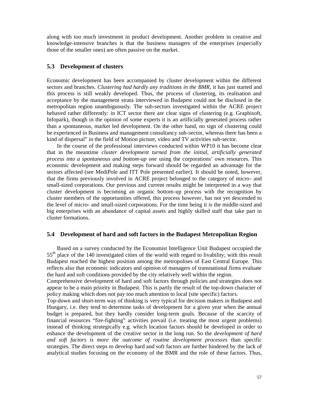along with too much investment in product development. Another problem in creative and knowledge-intensive branches is that the business managers of the enterprises (especially those of the smaller ones) are often passive on the market.

### **5.3 Development of clusters**

Economic development has been accompanied by cluster development within the different sectors and branches. *Clustering had hardly any traditions in the BMR*, it has just started and this process is still weakly developed. Thus, the process of clustering, its realisation and acceptance by the management strata interviewed in Budapest could not be disclosed in the metropolitan region unambiguously. The sub-sectors investigated within the ACRE project behaved rather differently: in ICT sector there are clear signs of clustering (e.g. Graphisoft, Infopark), though in the opinion of some experts it is an artificially generated process rather than a spontaneous, market led development. On the other hand, no sign of clustering could be experienced in Business and management consultancy sub-sector, whereas there has been a kind of dispersal" in the field of Motion picture, video and TV activities sub-sector.

In the course of the professional interviews conducted within WP10 it has become clear that in the meantime *cluster development turned from the initial, artificially generated process into a spontaneous and bottom-up one* using the corporations' own resources. This economic development and making steps forward should be regarded an advantage for the sectors affected (see MediPole and ITT Pole presented earlier). It should be noted, however, that the firms previously involved in ACRE project belonged to the category of micro- and small-sized corporations. Our previous and current results might be interpreted in a way that cluster development is becoming an organic bottom-up process with the recognition by cluster members of the opportunities offered, this process however, has not yet descended to the level of micro- and small-sized corporations. For the time being it is the middle-sized and big enterprises with an abundance of capital assets and highly skilled staff that take part in cluster formations.

### **5.4 Development of hard and soft factors in the Budapest Metropolitan Region**

Based on a survey conducted by the Economist Intelligence Unit Budapest occupied the 55<sup>th</sup> place of the 140 investigated cities of the world with regard to livability; with this result Budapest reached the highest position among the metropolises of East Central Europe. This reflects also that economic indicators and opinion of managers of transnational firms evaluate the hard and soft conditions provided by the city relatively well within the region.

Comprehensive development of hard and soft factors through policies and strategies does not appear to be a main priority in Budapest. This is partly the result of the top-down character of policy making which does not pay too much attention to local (site specific) factors.

Top-down and short-term way of thinking is very typical for decision makers in Budapest and Hungary, i.e. they tend to determine tasks of development for a given year when the annual budget is prepared, but they hardly consider long-term goals. Because of the scarcity of financial resources "fire-fighting" activities prevail (i.e. treating the most urgent problems) instead of thinking strategically e.g. which location factors should be developed in order to enhance the development of the creative sector in the long run. So the *development of hard and soft factors is more the outcome of routine development processes* than specific strategies. The direct steps to develop hard and soft factors are further hindered by the lack of analytical studies focusing on the economy of the BMR and the role of these factors. Thus,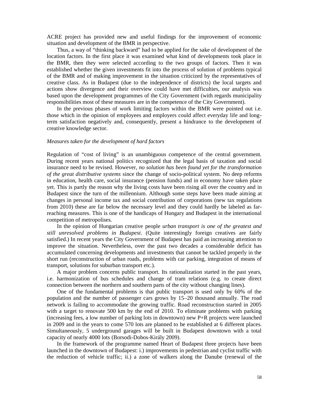ACRE project has provided new and useful findings for the improvement of economic situation and development of the BMR in perspective.

Thus, a way of "thinking backward" had to be applied for the sake of development of the location factors. In the first place it was examined what kind of developments took place in the BMR, then they were selected according to the two groups of factors. Then it was established whether the given investments fit into the process of solution of problems typical of the BMR and of making improvement in the situation criticized by the representatives of creative class. As in Budapest (due to the independence of districts) the local targets and actions show divergence and their overview could have met difficulties, our analysis was based upon the development programmes of the City Government (with regards municipality responsibilities most of these measures are in the competence of the City Government).

In the previous phases of work limiting factors within the BMR were pointed out i.e. those which in the opinion of employees and employers could affect everyday life and longterm satisfaction negatively and, consequently, present a hindrance to the development of creative knowledge sector.

#### *Measures taken for the development of hard factors*

Regulation of "cost of living" is an unambiguous competence of the central government. During recent years national politics recognized that the legal basis of taxation and social insurance need to be revised. However, *no solution has been found yet for the transformation of the great distributive systems* since the change of socio-political system. No deep reforms in education, health care, social insurance (pension funds) and in economy have taken place yet. This is partly the reason why the living costs have been rising all over the country and in Budapest since the turn of the millennium. Although some steps have been made aiming at changes in personal income tax and social contribution of corporations (new tax regulations from 2010) these are far below the necessary level and they could hardly be labeled as farreaching measures. This is one of the handicaps of Hungary and Budapest in the international competition of metropolises.

In the opinion of Hungarian creative people *urban transport is one of the greatest and still unresolved problems in Budapest*. (Quite interestingly foreign creatives are fairly satisfied.) In recent years the City Government of Budapest has paid an increasing attention to improve the situation. Nevertheless, over the past two decades a considerable deficit has accumulated concerning developments and investments that cannot be tackled properly in the short run (reconstruction of urban roads, problems with car parking, integration of means of transport, solutions for suburban transport etc.).

A major problem concerns public transport. Its rationalization started in the past years, i.e. harmonization of bus schedules and change of tram relations (e.g. to create direct connection between the northern and southern parts of the city without changing lines).

One of the fundamental problems is that public transport is used only by 60% of the population and the number of passenger cars grows by 15–20 thousand annually. The road network is failing to accommodate the growing traffic. Road reconstruction started in 2005 with a target to renovate 500 km by the end of 2010. To eliminate problems with parking (increasing fees, a low number of parking lots in downtown) new P+R projects were launched in 2009 and in the years to come 570 lots are planned to be established at 6 different places. Simultaneously, 5 underground garages will be built in Budapest downtown with a total capacity of nearly 4000 lots (Borsodi-Dobos-Király 2009).

In the framework of the programme named Heart of Budapest three projects have been launched in the downtown of Budapest: i.) improvements in pedestrian and cyclist traffic with the reduction of vehicle traffic; ii.) a zone of walkers along the Danube (renewal of the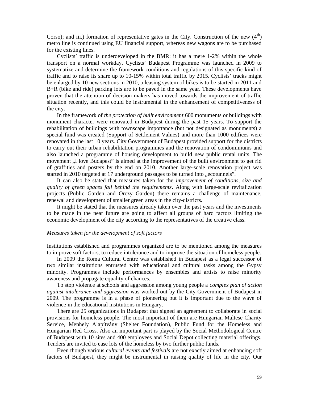Corso); and iii.) formation of representative gates in the City. Construction of the new  $(4<sup>th</sup>)$ metro line is continued using EU financial support, whereas new wagons are to be purchased for the existing lines.

Cyclists' traffic is underdeveloped in the BMR: it has a mere 1-2% within the whole transport on a normal workday. Cyclists' Budapest Programme was launched in 2009 to systematize and determine the framework conditions and regulations of this specific kind of traffic and to raise its share up to 10-15% within total traffic by 2015. Cyclists' tracks might be enlarged by 10 new sections in 2010, a leasing system of bikes is to be started in 2011 and B+R (bike and ride) parking lots are to be paved in the same year. These developments have proven that the attention of decision makers has moved towards the improvement of traffic situation recently, and this could be instrumental in the enhancement of competitiveness of the city.

In the framework of *the protection of built environment* 600 monuments or buildings with monument character were renovated in Budapest during the past 15 years. To support the rehabilitation of buildings with townscape importance (but not designated as monuments) a special fund was created (Support of Settlement Values) and more than 1000 edifices were renovated in the last 10 years. City Government of Budapest provided support for the districts to carry out their urban rehabilitation programmes and the renovation of condominiums and also launched a programme of housing development to build new public rental units. The movement . I love Budapest" is aimed at the improvement of the built environment to get rid of graffities and posters by the end on 2010. Another large-scale renovation project was started in 2010 targeted at 17 underground passages to be turned into ..ecotunnels".

It can also be stated that measures taken for the *improvement of conditions, size and quality of green spaces fall behind the requirements*. Along with large-scale revitalization projects (Public Garden and Orczy Garden) there remains a challenge of maintenance, renewal and development of smaller green areas in the city-districts.

It might be stated that the measures already taken over the past years and the investments to be made in the near future are going to affect all groups of hard factors limiting the economic development of the city according to the representatives of the creative class.

#### *Measures taken for the development of soft factors*

Institutions established and programmes organized are to be mentioned among the measures to improve soft factors, to reduce intolerance and to improve the situation of homeless people.

In 2009 the Roma Cultural Centre was established in Budapest as a legal successor of two similar institutions entrusted with educational and cultural tasks among the Gypsy minority. Programmes include performances by ensembles and artists to raise minority awareness and propagate equality of chances.

To stop violence at schools and aggression among young people a *complex plan of action against intolerance and aggression* was worked out by the City Government of Budapest in 2009. The programme is in a phase of pioneering but it is important due to the wave of violence in the educational institutions in Hungary.

There are 25 organizations in Budapest that signed an agreement to collaborate in social provisions for homeless people. The most important of them are Hungarian Maltese Charity Service, Menhely Alapítvány (Shelter Foundation), Public Fund for the Homeless and Hungarian Red Cross. Also an important part is played by the Social Methodological Centre of Budapest with 10 sites and 400 employees and Social Depot collecting material offerings. Tenders are invited to ease lots of the homeless by two further public funds.

Even though various *cultural events and festivals* are not exactly aimed at enhancing soft factors of Budapest, they might be instrumental in raising quality of life in the city. Our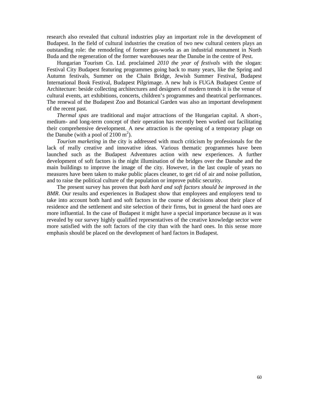research also revealed that cultural industries play an important role in the development of Budapest. In the field of cultural industries the creation of two new cultural centers plays an outstanding role: the remodeling of former gas-works as an industrial monument in North Buda and the regeneration of the former warehouses near the Danube in the centre of Pest.

Hungarian Tourism Co. Ltd. proclaimed *2010 the year of festivals* with the slogan: Festival City Budapest featuring programmes going back to many years, like the Spring and Autumn festivals, Summer on the Chain Bridge, Jewish Summer Festival, Budapest International Book Festival, Budapest Pilgrimage. A new hub is FUGA Budapest Centre of Architecture: beside collecting architectures and designers of modern trends it is the venue of cultural events, art exhibitions, concerts, children's programmes and theatrical performances. The renewal of the Budapest Zoo and Botanical Garden was also an important development of the recent past.

*Thermal spas* are traditional and major attractions of the Hungarian capital. A short-, medium- and long-term concept of their operation has recently been worked out facilitating their comprehensive development. A new attraction is the opening of a temporary plage on the Danube (with a pool of  $2100 \text{ m}^2$ ).

*Tourism marketing* in the city is addressed with much criticism by professionals for the lack of really creative and innovative ideas. Various thematic programmes have been launched such as the Budapest Adventures action with new experiences. A further development of soft factors is the night illumination of the bridges over the Danube and the main buildings to improve the image of the city. However, in the last couple of years no measures have been taken to make public places cleaner, to get rid of air and noise pollution, and to raise the political culture of the population or improve public security.

The present survey has proven that *both hard and soft factors should be improved in the BMR*. Our results and experiences in Budapest show that employees and employers tend to take into account both hard and soft factors in the course of decisions about their place of residence and the settlement and site selection of their firms, but in general the hard ones are more influential. In the case of Budapest it might have a special importance because as it was revealed by our survey highly qualified representatives of the creative knowledge sector were more satisfied with the soft factors of the city than with the hard ones. In this sense more emphasis should be placed on the development of hard factors in Budapest.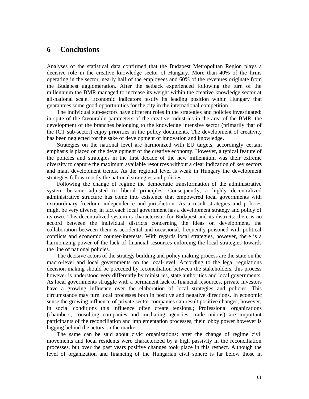## **6 Conclusions**

Analyses of the statistical data confirmed that the Budapest Metropolitan Region plays a decisive role in the creative knowledge sector of Hungary. More than 40% of the firms operating in the sector, nearly half of the employees and 60% of the revenues originate from the Budapest agglomeration. After the setback experienced following the turn of the millennium the BMR managed to increase its weight within the creative knowledge sector at all-national scale. Economic indicators testify its leading position within Hungary that guarantees some good opportunities for the city in the international competition.

The individual sub-sectors have different roles in the strategies and policies investigated: in spite of the favourable parameters of the creative industries in the area of the BMR, the development of the branches belonging to the knowledge intensive sector (primarily that of the ICT sub-sector) enjoy priorities in the policy documents. The development of creativity has been neglected for the sake of development of innovation and knowledge.

Strategies on the national level are harmonized with EU targets; accordingly certain emphasis is placed on the development of the creative economy. However, a typical feature of the policies and strategies in the first decade of the new millennium was their extreme diversity to capture the maximum available resources without a clear indication of key sectors and main development trends. As the regional level is weak in Hungary the development strategies follow mostly the national strategies and policies.

Following the change of regime the democratic transformation of the administrative system became adjusted to liberal principles. Consequently, a highly decentralized administrative structure has come into existence that empowered local governments with extraordinary freedom, independence and jurisdiction. As a result strategies and policies might be very diverse; in fact each local government has a development strategy and policy of its own. This decentralized system is characteristic for Budapest and its districts: there is no accord between the individual districts concerning the ideas on development, the collaboration between them is accidental and occasional, frequently poisoned with political conflicts and economic counter-interests. With regards local strategies, however, there is a harmonizing power of the lack of financial resources enforcing the local strategies towards the line of national policies.

The decisive actors of the strategy building and policy making process are the state on the macro-level and local governments on the local-level. According to the legal regulations decision making should be preceded by reconciliation between the stakeholders, this process however is understood very differently by ministries, state authorities and local governments. As local governments struggle with a permanent lack of financial resources, private investors have a growing influence over the elaboration of local strategies and policies. This circumstance may turn local processes both in positive and negative directions. In economic sense the growing influence of private sector companies can result positive changes, however, in social conditions this influence often create tensions.; Professional organizations (chambers, consulting companies and mediating agencies, trade unions) are important participants of the reconciliation and implementation processes, their lobby power however is lagging behind the actors on the market.

The same can be said about civic organizations: after the change of regime civil movements and local residents were characterized by a high passivity in the reconciliation processes, but over the past years positive changes took place in this respect. Although the level of organization and financing of the Hungarian civil sphere is far below those in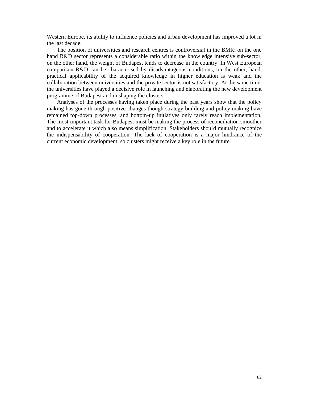Western Europe, its ability to influence policies and urban development has improved a lot in the last decade.

The position of universities and research centres is controversial in the BMR: on the one hand R&D sector represents a considerable ratio within the knowledge intensive sub-sector, on the other hand, the weight of Budapest tends to decrease in the country. In West European comparison R&D can be characterised by disadvantageous conditions, on the other, hand, practical applicability of the acquired knowledge in higher education is weak and the collaboration between universities and the private sector is not satisfactory. At the same time, the universities have played a decisive role in launching and elaborating the new development programme of Budapest and in shaping the clusters.

Analyses of the processes having taken place during the past years show that the policy making has gone through positive changes though strategy building and policy making have remained top-down processes, and bottom-up initiatives only rarely reach implementation. The most important task for Budapest must be making the process of reconciliation smoother and to accelerate it which also means simplification. Stakeholders should mutually recognize the indispensability of cooperation. The lack of cooperation is a major hindrance of the current economic development, so clusters might receive a key role in the future.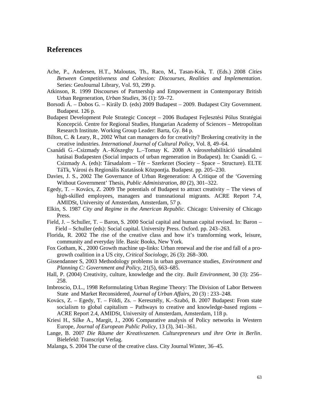# **References**

- Ache, P., Andersen, H.T., Maloutas, Th., Raco, M., Tasan-Kok, T. (Eds.) 2008 *Cities Between Competitiveness and Cohesion: Discourses, Realities and Implementation*. Series: GeoJournal Library, Vol. 93, 299 p.
- Atkinson, R. 1999 Discourses of Partnership and Empowerment in Contemporary British Urban Regeneration, *Urban Studies*, 36 (1): 59–72.
- Borsodi Á. Dobos G. Király D. (eds) 2009 Budapest 2009. Budapest City Government. Budapest. 126 p.
- Budapest Development Pole Strategic Concept 2006 Budapest Fejlesztési Pólus Stratégiai Koncepció. Centre for Regional Studies, Hungarian Academy of Sciences – Metropolitan Research Institute. Working Group Leader: Barta, Gy. 84 p.
- Bilton, C. & Leary, R., 2002 What can managers do for creativity? Brokering creativity in the creative industries. *International Journal of Cultural Policy*, Vol. 8, 49–64.
- Csanádi G.–Csizmady A.–K szeghy L.–Tomay K. 2008 A városrehabilitáció társadalmi hatásai Budapesten (Social impacts of urban regeneration in Budapest). In: Csanádi G. – Csizmady A. (eds): Társadalom – Tér – Szerkezet (Society – Space – Structure). ELTE TáTk, Városi és Regionális Kutatások Központja. Budapest. pp. 205–230.
- Davies, J. S., 2002 The Governance of Urban Regeneration: A Critique of the 'Governing Without Government' Thesis, *Public Administration, 80* (2), 301–322.
- Egedy, T. Kovács, Z. 2009 The potentials of Budapest to attract creativity The views of high-skilled employees, managers and transnational migrants. ACRE Report 7.4, AMIDSt, University of Amsterdam, Amsterdam, 57 p.
- Elkin, S. 1987 *City and Regime in the American Republic*. Chicago: University of Chicago Press.
- Field, J. Schuller, T. Baron, S. 2000 Social capital and human capital revised. In: Baron Field – Schuller (eds): Social capital. University Press. Oxford. pp. 243–263.
- Florida, R. 2002 The rise of the creative class and how it's transforming work, leisure, community and everyday life. Basic Books, New York.
- Fox Gotham, K., 2000 Growth machine up-links: Urban renewal and the rise and fall of a progrowth coalition in a US city, *Critical Sociology*, 26 (3): 268–300.
- Gissendanner S, 2003 Methodology problems in urban governance studies, *Environment and Planning C: Government and Policy,* 21(5), 663–685.
- Hall, P. (2004) Creativity, culture, knowledge and the city. *Built Environment*, 30 (3): 256– 258.
- Imbroscio, D.L., 1998 Reformulating Urban Regime Theory: The Division of Labor Between State and Market Reconsidered, *Journal of Urban Affairs*, 20 (3) : 233–248.
- Kovács, Z. Egedy, T. Földi, Zs. Keresztély, K.–Szabó, B. 2007 Budapest: From state socialism to global capitalism – Pathways to creative and knowledge-based regions – ACRE Report 2.4, AMIDSt, University of Amsterdam, Amsterdam, 118 p.
- Kriesi H., Silke A., Margit, J., 2006 Comparative analysis of Policy networks in Western Europe, *Journal of European Public Policy*, 13 (3), 341–361.
- Lange, B. 2007 *Die Räume der Kreativszenen. Culturepreneurs und ihre Orte in Berlin*. Bielefeld: Transcript Verlag.
- Malanga, S. 2004 The curse of the creative class. City Journal Winter, 36–45.